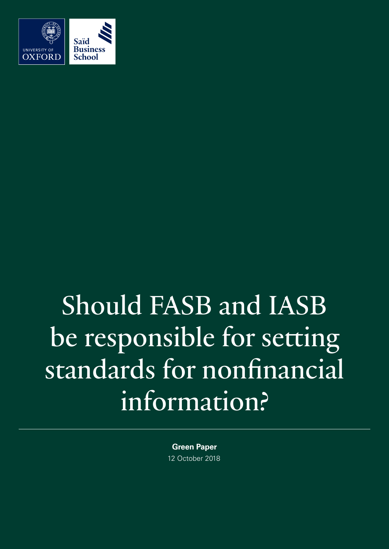

# Should FASB and IASB be responsible for setting standards for nonfinancial information?

**Green Paper** 12 October 2018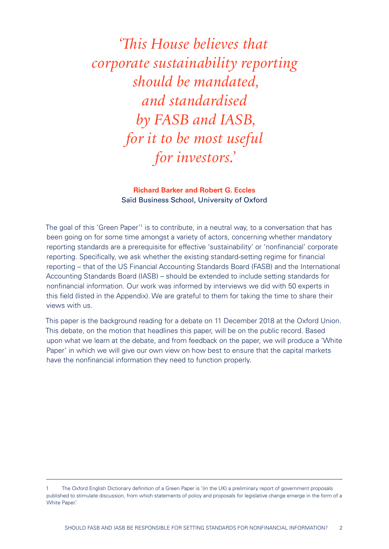'This House believes that corporate sustainability reporting should be mandated, and standardised by FASB and IASB, for it to be most useful for investors.'

## **Richard Barker and Robert G. Eccles** Saïd Business School, University of Oxford

The goal of this 'Green Paper'<sup>1</sup> is to contribute, in a neutral way, to a conversation that has been going on for some time amongst a variety of actors, concerning whether mandatory reporting standards are a prerequisite for effective 'sustainability' or 'nonfinancial' corporate reporting. Specifically, we ask whether the existing standard-setting regime for financial reporting – that of the US Financial Accounting Standards Board (FASB) and the International Accounting Standards Board (IASB) – should be extended to include setting standards for nonfinancial information. Our work was informed by interviews we did with 50 experts in this field (listed in the Appendix). We are grateful to them for taking the time to share their views with us.

This paper is the background reading for a debate on 11 December 2018 at the Oxford Union. This debate, on the motion that headlines this paper, will be on the public record. Based upon what we learn at the debate, and from feedback on the paper, we will produce a 'White Paper' in which we will give our own view on how best to ensure that the capital markets have the nonfinancial information they need to function properly.

The Oxford English Dictionary definition of a Green Paper is '(in the UK) a preliminary report of government proposals published to stimulate discussion, from which statements of policy and proposals for legislative change emerge in the form of a White Paper.'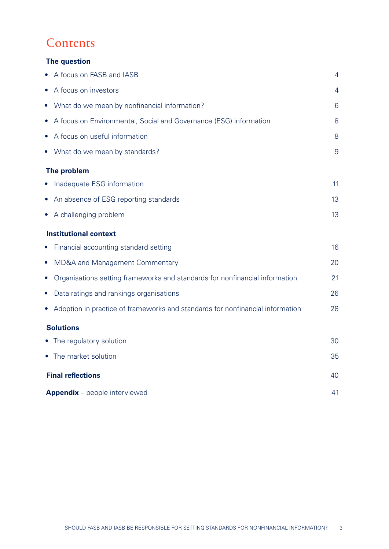# **Contents**

# **The question**

| • A focus on FASB and IASB                                                               | 4              |
|------------------------------------------------------------------------------------------|----------------|
| • A focus on investors                                                                   | 4              |
| • What do we mean by nonfinancial information?                                           | 6              |
| • A focus on Environmental, Social and Governance (ESG) information                      | 8              |
| • A focus on useful information                                                          | 8              |
| • What do we mean by standards?                                                          | $\overline{9}$ |
| The problem                                                                              |                |
| • Inadequate ESG information                                                             | 11             |
| • An absence of ESG reporting standards                                                  | 13             |
| • A challenging problem                                                                  | 13             |
| <b>Institutional context</b>                                                             |                |
| • Financial accounting standard setting                                                  | 16             |
| <b>MD&amp;A and Management Commentary</b><br>$\bullet$                                   | 20             |
| Organisations setting frameworks and standards for nonfinancial information<br>$\bullet$ | 21             |
| Data ratings and rankings organisations<br>$\bullet$                                     | 26             |
| • Adoption in practice of frameworks and standards for nonfinancial information          | 28             |
| <b>Solutions</b>                                                                         |                |
| • The regulatory solution                                                                | 30             |
| • The market solution                                                                    | 35             |
| <b>Final reflections</b>                                                                 | 40             |
| <b>Appendix</b> – people interviewed                                                     | 41             |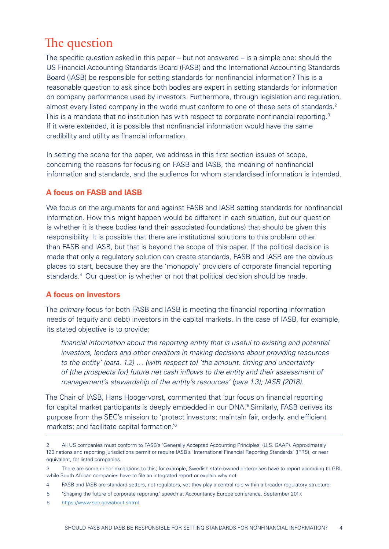# <span id="page-3-0"></span>The question

The specific question asked in this paper – but not answered – is a simple one: should the US Financial Accounting Standards Board (FASB) and the International Accounting Standards Board (IASB) be responsible for setting standards for nonfinancial information? This is a reasonable question to ask since both bodies are expert in setting standards for information on company performance used by investors. Furthermore, through legislation and regulation, almost every listed company in the world must conform to one of these sets of standards.<sup>2</sup> This is a mandate that no institution has with respect to corporate nonfinancial reporting.<sup>3</sup> If it were extended, it is possible that nonfinancial information would have the same credibility and utility as financial information.

In setting the scene for the paper, we address in this first section issues of scope, concerning the reasons for focusing on FASB and IASB, the meaning of nonfinancial information and standards, and the audience for whom standardised information is intended.

# **A focus on FASB and IASB**

We focus on the arguments for and against FASB and IASB setting standards for nonfinancial information. How this might happen would be different in each situation, but our question is whether it is these bodies (and their associated foundations) that should be given this responsibility. It is possible that there are institutional solutions to this problem other than FASB and IASB, but that is beyond the scope of this paper. If the political decision is made that only a regulatory solution can create standards, FASB and IASB are the obvious places to start, because they are the 'monopoly' providers of corporate financial reporting standards.4 Our question is whether or not that political decision should be made.

# **A focus on investors**

The *primary* focus for both FASB and IASB is meeting the financial reporting information needs of (equity and debt) investors in the capital markets. In the case of IASB, for example, its stated objective is to provide:

*financial information about the reporting entity that is useful to existing and potential investors, lenders and other creditors in making decisions about providing resources to the entity' (para. 1.2) … (with respect to) 'the amount, timing and uncertainty of (the prospects for) future net cash inflows to the entity and their assessment of management's stewardship of the entity's resources' (para 1.3); IASB (2018).*

The Chair of IASB, Hans Hoogervorst, commented that 'our focus on financial reporting for capital market participants is deeply embedded in our DNA.<sup>5</sup> Similarly, FASB derives its purpose from the SEC's mission to 'protect investors; maintain fair, orderly, and efficient markets; and facilitate capital formation.'6

<sup>2</sup> All US companies must conform to FASB's 'Generally Accepted Accounting Principles' (U.S. GAAP). Approximately 120 nations and reporting jurisdictions permit or require IASB's 'International Financial Reporting Standards' (IFRS), or near equivalent, for listed companies.

<sup>3</sup> There are some minor exceptions to this; for example, Swedish state-owned enterprises have to report according to GRI, while South African companies have to file an integrated report or explain why not.

<sup>4</sup> FASB and IASB are standard setters, not regulators, yet they play a central role within a broader regulatory structure.

<sup>5</sup> 'Shaping the future of corporate reporting,' speech at Accountancy Europe conference, September 2017.

<sup>6</sup> <https://www.sec.gov/about.shtml>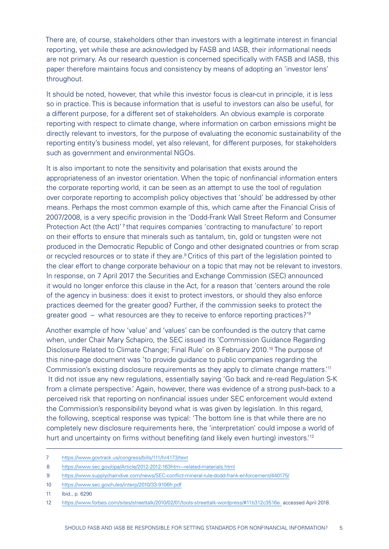There are, of course, stakeholders other than investors with a legitimate interest in financial reporting, yet while these are acknowledged by FASB and IASB, their informational needs are not primary. As our research question is concerned specifically with FASB and IASB, this paper therefore maintains focus and consistency by means of adopting an 'investor lens' throughout.

It should be noted, however, that while this investor focus is clear-cut in principle, it is less so in practice. This is because information that is useful to investors can also be useful, for a different purpose, for a different set of stakeholders. An obvious example is corporate reporting with respect to climate change, where information on carbon emissions might be directly relevant to investors, for the purpose of evaluating the economic sustainability of the reporting entity's business model, yet also relevant, for different purposes, for stakeholders such as government and environmental NGOs.

It is also important to note the sensitivity and polarisation that exists around the appropriateness of an investor orientation. When the topic of nonfinancial information enters the corporate reporting world, it can be seen as an attempt to use the tool of regulation over corporate reporting to accomplish policy objectives that 'should' be addressed by other means. Perhaps the most common example of this, which came after the Financial Crisis of 2007/2008, is a very specific provision in the 'Dodd-Frank Wall Street Reform and Consumer Protection Act (the Act)'<sup>7</sup> that requires companies 'contracting to manufacture' to report on their efforts to ensure that minerals such as tantalum, tin, gold or tungsten were not produced in the Democratic Republic of Congo and other designated countries or from scrap or recycled resources or to state if they are.8Critics of this part of the legislation pointed to the clear effort to change corporate behaviour on a topic that may not be relevant to investors. In response, on 7 April 2017 the Securities and Exchange Commission (SEC) announced it would no longer enforce this clause in the Act, for a reason that 'centers around the role of the agency in business: does it exist to protect investors, or should they also enforce practices deemed for the greater good? Further, if the commission seeks to protect the greater good – what resources are they to receive to enforce reporting practices?'9

Another example of how 'value' and 'values' can be confounded is the outcry that came when, under Chair Mary Schapiro, the SEC issued its 'Commission Guidance Regarding Disclosure Related to Climate Change; Final Rule' on 8 February 2010.<sup>10</sup> The purpose of this nine-page document was 'to provide guidance to public companies regarding the Commission's existing disclosure requirements as they apply to climate change matters.'11 It did not issue any new regulations, essentially saying 'Go back and re-read Regulation S-K from a climate perspective.' Again, however, there was evidence of a strong push-back to a perceived risk that reporting on nonfinancial issues under SEC enforcement would extend the Commission's responsibility beyond what is was given by legislation. In this regard, the following, sceptical response was typical: 'The bottom line is that while there are no completely new disclosure requirements here, the 'interpretation' could impose a world of hurt and uncertainty on firms without benefiting (and likely even hurting) investors.<sup>'12</sup>

11 Ibid., p. 6290

<sup>7</sup> <https://www.govtrack.us/congress/bills/111/hr4173/text>

<sup>8</sup> <https://www.sec.gov/opa/Article/2012-2012-163htm---related-materials.html>

<sup>9</sup> <https://www.supplychaindive.com/news/SEC-conflict-mineral-rule-dodd-frank-enforcement/440175/>

<sup>10</sup> <https://www.sec.gov/rules/interp/2010/33-9106fr.pdf>

<sup>12</sup> <https://www.forbes.com/sites/streettalk/2010/02/01/tools-streettalk-wordpress/#11b312c3516e.>accessed April 2018.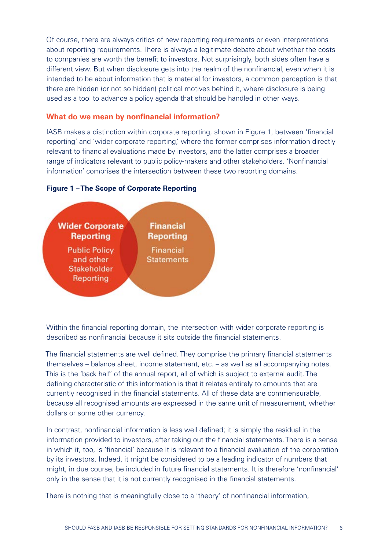<span id="page-5-0"></span>Of course, there are always critics of new reporting requirements or even interpretations about reporting requirements. There is always a legitimate debate about whether the costs to companies are worth the benefit to investors. Not surprisingly, both sides often have a different view. But when disclosure gets into the realm of the nonfinancial, even when it is intended to be about information that is material for investors, a common perception is that there are hidden (or not so hidden) political motives behind it, where disclosure is being used as a tool to advance a policy agenda that should be handled in other ways.

#### **What do we mean by nonfinancial information?**

IASB makes a distinction within corporate reporting, shown in Figure 1, between 'financial reporting' and 'wider corporate reporting,' where the former comprises information directly relevant to financial evaluations made by investors, and the latter comprises a broader range of indicators relevant to public policy-makers and other stakeholders. 'Nonfinancial information' comprises the intersection between these two reporting domains.

#### **Figure 1 – The Scope of Corporate Reporting**



Within the financial reporting domain, the intersection with wider corporate reporting is described as nonfinancial because it sits outside the financial statements.

The financial statements are well defined. They comprise the primary financial statements themselves – balance sheet, income statement, etc. – as well as all accompanying notes. This is the 'back half' of the annual report, all of which is subject to external audit. The defining characteristic of this information is that it relates entirely to amounts that are currently recognised in the financial statements. All of these data are commensurable, because all recognised amounts are expressed in the same unit of measurement, whether dollars or some other currency.

In contrast, nonfinancial information is less well defined; it is simply the residual in the information provided to investors, after taking out the financial statements. There is a sense in which it, too, is 'financial' because it is relevant to a financial evaluation of the corporation by its investors. Indeed, it might be considered to be a leading indicator of numbers that might, in due course, be included in future financial statements. It is therefore 'nonfinancial' only in the sense that it is not currently recognised in the financial statements.

There is nothing that is meaningfully close to a 'theory' of nonfinancial information,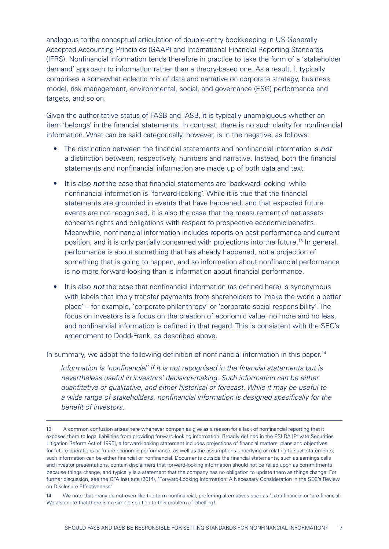analogous to the conceptual articulation of double-entry bookkeeping in US Generally Accepted Accounting Principles (GAAP) and International Financial Reporting Standards (IFRS). Nonfinancial information tends therefore in practice to take the form of a 'stakeholder demand' approach to information rather than a theory-based one. As a result, it typically comprises a somewhat eclectic mix of data and narrative on corporate strategy, business model, risk management, environmental, social, and governance (ESG) performance and targets, and so on.

Given the authoritative status of FASB and IASB, it is typically unambiguous whether an item 'belongs' in the financial statements. In contrast, there is no such clarity for nonfinancial information. What can be said categorically, however, is in the negative, as follows:

- The distinction between the financial statements and nonfinancial information is *not* a distinction between, respectively, numbers and narrative. Instead, both the financial statements and nonfinancial information are made up of both data and text.
- It is also *not* the case that financial statements are 'backward-looking' while nonfinancial information is 'forward-looking'. While it is true that the financial statements are grounded in events that have happened, and that expected future events are not recognised, it is also the case that the measurement of net assets concerns rights and obligations with respect to prospective economic benefits. Meanwhile, nonfinancial information includes reports on past performance and current position, and it is only partially concerned with projections into the future.13 In general, performance is about something that has already happened, not a projection of something that is going to happen, and so information about nonfinancial performance is no more forward-looking than is information about financial performance.
- It is also *not* the case that nonfinancial information (as defined here) is synonymous with labels that imply transfer payments from shareholders to 'make the world a better place' – for example, 'corporate philanthropy' or 'corporate social responsibility'. The focus on investors is a focus on the creation of economic value, no more and no less, and nonfinancial information is defined in that regard. This is consistent with the SEC's amendment to Dodd-Frank, as described above.

In summary, we adopt the following definition of nonfinancial information in this paper.<sup>14</sup>

*Information is 'nonfinancial' if it is not recognised in the financial statements but is nevertheless useful in investors' decision-making. Such information can be either quantitative or qualitative, and either historical or forecast. While it may be useful to a wide range of stakeholders, nonfinancial information is designed specifically for the benefit of investors.*

<sup>13</sup> A common confusion arises here whenever companies give as a reason for a lack of nonfinancial reporting that it exposes them to legal liabilities from providing forward-looking information. Broadly defined in the PSLRA [Private Securities Litigation Reform Act of 1995], a forward-looking statement includes projections of financial matters, plans and objectives for future operations or future economic performance, as well as the assumptions underlying or relating to such statements; such information can be either financial or nonfinancial. Documents outside the financial statements, such as earnings calls and investor presentations, contain disclaimers that forward-looking information should not be relied upon as commitments because things change, and typically is a statement that the company has no obligation to update them as things change. For further discussion, see the CFA Institute (2014), 'Forward-Looking Information: A Necessary Consideration in the SEC's Review on Disclosure Effectiveness.'

<sup>14</sup> We note that many do not even like the term nonfinancial, preferring alternatives such as 'extra-financial or 'pre-financial'. We also note that there is no simple solution to this problem of labelling!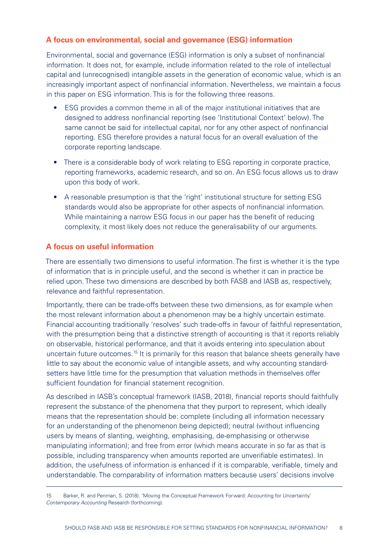## <span id="page-7-0"></span>**A focus on environmental, social and governance (ESG) information**

Environmental, social and governance (ESG) information is only a subset of nonfinancial information. It does not, for example, include information related to the role of intellectual capital and (unrecognised) intangible assets in the generation of economic value, which is an increasingly important aspect of nonfinancial information. Nevertheless, we maintain a focus in this paper on ESG information. This is for the following three reasons.

- ESG provides a common theme in all of the major institutional initiatives that are designed to address nonfinancial reporting (see 'Institutional Context' below). The same cannot be said for intellectual capital, nor for any other aspect of nonfinancial reporting. ESG therefore provides a natural focus for an overall evaluation of the corporate reporting landscape.
- There is a considerable body of work relating to ESG reporting in corporate practice. reporting frameworks, academic research, and so on. An ESG focus allows us to draw upon this body of work.
- A reasonable presumption is that the 'right' institutional structure for setting ESG standards would also be appropriate for other aspects of nonfinancial information. While maintaining a narrow ESG focus in our paper has the benefit of reducing complexity, it most likely does not reduce the generalisability of our arguments.

#### **A focus on useful information**

There are essentially two dimensions to useful information. The first is whether it is the type of information that is in principle useful, and the second is whether it can in practice be relied upon. These two dimensions are described by both FASB and IASB as, respectively, relevance and faithful representation.

Importantly, there can be trade-offs between these two dimensions, as for example when the most relevant information about a phenomenon may be a highly uncertain estimate. Financial accounting traditionally 'resolves' such trade-offs in favour of faithful representation, with the presumption being that a distinctive strength of accounting is that it reports reliably on observable, historical performance, and that it avoids entering into speculation about uncertain future outcomes.<sup>15</sup> It is primarily for this reason that balance sheets generally have little to say about the economic value of intangible assets, and why accounting standardsetters have little time for the presumption that valuation methods in themselves offer sufficient foundation for financial statement recognition.

As described in IASB's conceptual framework (IASB, 2018), financial reports should faithfully represent the substance of the phenomena that they purport to represent, which ideally means that the representation should be: complete (including all information necessary for an understanding of the phenomenon being depicted); neutral (without influencing users by means of slanting, weighting, emphasising, de-emphasising or otherwise manipulating information); and free from error (which means accurate in so far as that is possible, including transparency when amounts reported are unverifiable estimates). In addition, the usefulness of information is enhanced if it is comparable, verifiable, timely and understandable. The comparability of information matters because users' decisions involve

<sup>15</sup> Barker, R. and Penman, S. (2018). 'Moving the Conceptual Framework Forward: Accounting for Uncertainty.' *Contemporary Accounting* Research (forthcoming).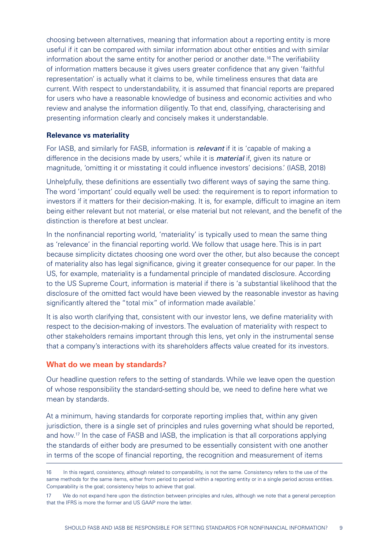<span id="page-8-0"></span>choosing between alternatives, meaning that information about a reporting entity is more useful if it can be compared with similar information about other entities and with similar information about the same entity for another period or another date.16 The verifiability of information matters because it gives users greater confidence that any given 'faithful representation' is actually what it claims to be, while timeliness ensures that data are current. With respect to understandability, it is assumed that financial reports are prepared for users who have a reasonable knowledge of business and economic activities and who review and analyse the information diligently. To that end, classifying, characterising and presenting information clearly and concisely makes it understandable.

#### **Relevance vs materiality**

For IASB, and similarly for FASB, information is *relevant* if it is 'capable of making a difference in the decisions made by users,' while it is *material* if, given its nature or magnitude, 'omitting it or misstating it could influence investors' decisions.' (IASB, 2018)

Unhelpfully, these definitions are essentially two different ways of saying the same thing. The word 'important' could equally well be used: the requirement is to report information to investors if it matters for their decision-making. It is, for example, difficult to imagine an item being either relevant but not material, or else material but not relevant, and the benefit of the distinction is therefore at best unclear.

In the nonfinancial reporting world, 'materiality' is typically used to mean the same thing as 'relevance' in the financial reporting world. We follow that usage here. This is in part because simplicity dictates choosing one word over the other, but also because the concept of materiality also has legal significance, giving it greater consequence for our paper. In the US, for example, materiality is a fundamental principle of mandated disclosure. According to the US Supreme Court, information is material if there is 'a substantial likelihood that the disclosure of the omitted fact would have been viewed by the reasonable investor as having significantly altered the "total mix" of information made available.'

It is also worth clarifying that, consistent with our investor lens, we define materiality with respect to the decision-making of investors. The evaluation of materiality with respect to other stakeholders remains important through this lens, yet only in the instrumental sense that a company's interactions with its shareholders affects value created for its investors.

#### **What do we mean by standards?**

Our headline question refers to the setting of standards. While we leave open the question of whose responsibility the standard-setting should be, we need to define here what we mean by standards.

At a minimum, having standards for corporate reporting implies that, within any given jurisdiction, there is a single set of principles and rules governing what should be reported, and how.17 In the case of FASB and IASB, the implication is that all corporations applying the standards of either body are presumed to be essentially consistent with one another in terms of the scope of financial reporting, the recognition and measurement of items

<sup>16</sup> In this regard, consistency, although related to comparability, is not the same. Consistency refers to the use of the same methods for the same items, either from period to period within a reporting entity or in a single period across entities. Comparability is the goal; consistency helps to achieve that goal.

<sup>17</sup> We do not expand here upon the distinction between principles and rules, although we note that a general perception that the IFRS is more the former and US GAAP more the latter.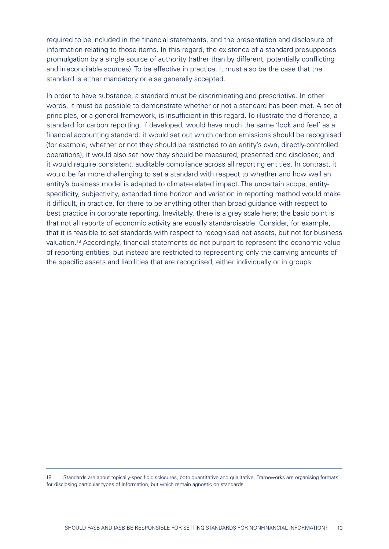required to be included in the financial statements, and the presentation and disclosure of information relating to those items. In this regard, the existence of a standard presupposes promulgation by a single source of authority (rather than by different, potentially conflicting and irreconcilable sources). To be effective in practice, it must also be the case that the standard is either mandatory or else generally accepted.

In order to have substance, a standard must be discriminating and prescriptive. In other words, it must be possible to demonstrate whether or not a standard has been met. A set of principles, or a general framework, is insufficient in this regard. To illustrate the difference, a standard for carbon reporting, if developed, would have much the same 'look and feel' as a financial accounting standard: it would set out which carbon emissions should be recognised (for example, whether or not they should be restricted to an entity's own, directly-controlled operations); it would also set how they should be measured, presented and disclosed; and it would require consistent, auditable compliance across all reporting entities. In contrast, it would be far more challenging to set a standard with respect to whether and how well an entity's business model is adapted to climate-related impact. The uncertain scope, entityspecificity, subjectivity, extended time horizon and variation in reporting method would make it difficult, in practice, for there to be anything other than broad guidance with respect to best practice in corporate reporting. Inevitably, there is a grey scale here; the basic point is that not all reports of economic activity are equally standardisable. Consider, for example, that it is feasible to set standards with respect to recognised net assets, but not for business valuation.<sup>18</sup> Accordingly, financial statements do not purport to represent the economic value of reporting entities, but instead are restricted to representing only the carrying amounts of the specific assets and liabilities that are recognised, either individually or in groups.

18 Standards are about topically-specific disclosures, both quantitative and qualitative. Frameworks are organising formats for disclosing particular types of information, but which remain agnostic on standards.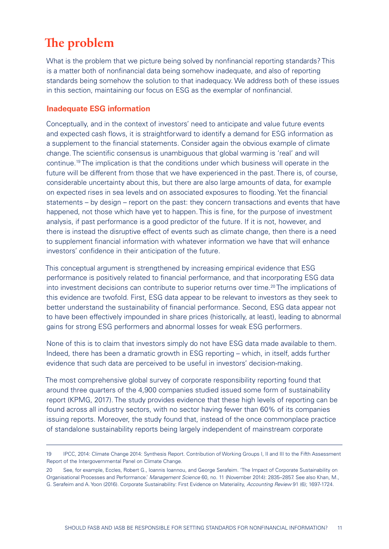# <span id="page-10-0"></span>**The problem**

What is the problem that we picture being solved by nonfinancial reporting standards? This is a matter both of nonfinancial data being somehow inadequate, and also of reporting standards being somehow the solution to that inadequacy. We address both of these issues in this section, maintaining our focus on ESG as the exemplar of nonfinancial.

## **Inadequate ESG information**

Conceptually, and in the context of investors' need to anticipate and value future events and expected cash flows, it is straightforward to identify a demand for ESG information as a supplement to the financial statements. Consider again the obvious example of climate change. The scientific consensus is unambiguous that global warming is 'real' and will continue.19 The implication is that the conditions under which business will operate in the future will be different from those that we have experienced in the past. There is, of course, considerable uncertainty about this, but there are also large amounts of data, for example on expected rises in sea levels and on associated exposures to flooding. Yet the financial statements – by design – report on the past: they concern transactions and events that have happened, not those which have yet to happen. This is fine, for the purpose of investment analysis, if past performance is a good predictor of the future. If it is not, however, and there is instead the disruptive effect of events such as climate change, then there is a need to supplement financial information with whatever information we have that will enhance investors' confidence in their anticipation of the future.

This conceptual argument is strengthened by increasing empirical evidence that ESG performance is positively related to financial performance, and that incorporating ESG data into investment decisions can contribute to superior returns over time.<sup>20</sup> The implications of this evidence are twofold. First, ESG data appear to be relevant to investors as they seek to better understand the sustainability of financial performance. Second, ESG data appear not to have been effectively impounded in share prices (historically, at least), leading to abnormal gains for strong ESG performers and abnormal losses for weak ESG performers.

None of this is to claim that investors simply do not have ESG data made available to them. Indeed, there has been a dramatic growth in ESG reporting – which, in itself, adds further evidence that such data are perceived to be useful in investors' decision-making.

The most comprehensive global survey of corporate responsibility reporting found that around three quarters of the 4,900 companies studied issued some form of sustainability report (KPMG, 2017). The study provides evidence that these high levels of reporting can be found across all industry sectors, with no sector having fewer than 60% of its companies issuing reports. Moreover, the study found that, instead of the once commonplace practice of standalone sustainability reports being largely independent of mainstream corporate

<sup>19</sup> IPCC, 2014: Climate Change 2014: Synthesis Report. Contribution of Working Groups I, II and III to the Fifth Assessment Report of the Intergovernmental Panel on Climate Change.

<sup>20</sup> See, for example, Eccles, Robert G., Ioannis Ioannou, and George Serafeim. ['The Impact of Corporate Sustainability on](http://www.hbs.edu/faculty/Pages/download.aspx?name=SSRN-id1964011.pdf)  [Organisational Processes and Performance.'](http://www.hbs.edu/faculty/Pages/download.aspx?name=SSRN-id1964011.pdf) *Management Science* 60, no. 11 (November 2014): 2835–2857. See also Khan, M., G. Serafeim and A. Yoon (2016). Corporate Sustainability: First Evidence on Materiality, *Accounting Review* 91 (6); 1697-1724.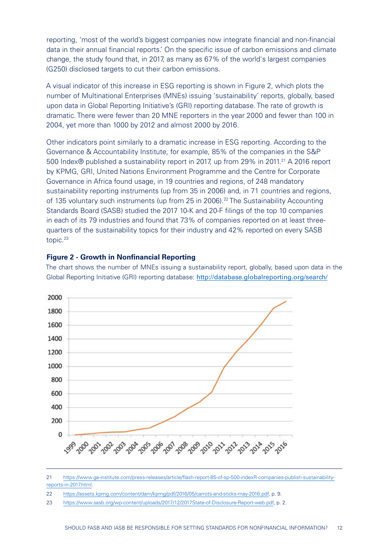reporting, 'most of the world's biggest companies now integrate financial and non-financial data in their annual financial reports.' On the specific issue of carbon emissions and climate change, the study found that, in 2017, as many as 67% of the world's largest companies (G250) disclosed targets to cut their carbon emissions.

A visual indicator of this increase in ESG reporting is shown in Figure 2, which plots the number of Multinational Enterprises (MNEs) issuing 'sustainability' reports, globally, based upon data in Global Reporting Initiative's (GRI) reporting database. The rate of growth is dramatic. There were fewer than 20 MNE reporters in the year 2000 and fewer than 100 in 2004, yet more than 1000 by 2012 and almost 2000 by 2016.

Other indicators point similarly to a dramatic increase in ESG reporting. According to the Governance & Accountability Institute, for example, 85% of the companies in the S&P 500 Index® published a sustainability report in 2017, up from 29% in 2011.<sup>21</sup> A 2016 report by KPMG, GRI, United Nations Environment Programme and the Centre for Corporate Governance in Africa found usage, in 19 countries and regions, of 248 mandatory sustainability reporting instruments (up from 35 in 2006) and, in 71 countries and regions, of 135 voluntary such instruments (up from 25 in 2006).<sup>22</sup> The Sustainability Accounting Standards Board (SASB) studied the 2017 10-K and 20-F filings of the top 10 companies in each of its 79 industries and found that 73% of companies reported on at least threequarters of the sustainability topics for their industry and 42% reported on every SASB topic.<sup>23</sup>

#### **Figure 2 - Growth in Nonfinancial Reporting**

The chart shows the number of MNEs issuing a sustainability report, globally, based upon data in the Global Reporting Initiative (GRI) reporting database: http://database.globalreporting.org/search/



<sup>21</sup> [https://www.ga-institute.com/press-releases/article/flash-report-85-of-sp-500-indexR-companies-publish-sustainability](https://www.ga-institute.com/press-releases/article/flash-report-85-of-sp-500-indexR-companies-publish-sustainability-reports-in-2017.html)[reports-in-2017.html](https://www.ga-institute.com/press-releases/article/flash-report-85-of-sp-500-indexR-companies-publish-sustainability-reports-in-2017.html).

<sup>22</sup> <https://assets.kpmg.com/content/dam/kpmg/pdf/2016/05/carrots-and-sticks-may-2016.pdf>, p. 9.

<sup>23</sup> [https://www.sasb.org/wp-content/uploads/2017/12/2017State-of-Disclosure-Report-web.pdf,](https://www.sasb.org/wp-content/uploads/2017/12/2017State-of-Disclosure-Report-web.pdf) p. 2.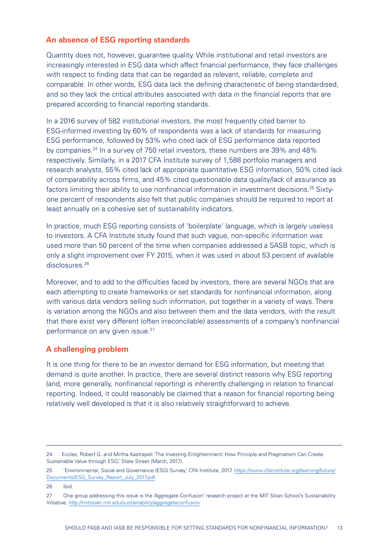## <span id="page-12-0"></span>**An absence of ESG reporting standards**

Quantity does not, however, guarantee quality. While institutional and retail investors are increasingly interested in ESG data which affect financial performance, they face challenges with respect to finding data that can be regarded as relevant, reliable, complete and comparable. In other words, ESG data lack the defining characteristic of being standardised, and so they lack the critical attributes associated with data in the financial reports that are prepared according to financial reporting standards.

In a 2016 survey of 582 institutional investors, the most frequently cited barrier to ESG-informed investing by 60% of respondents was a lack of standards for measuring ESG performance, followed by 53% who cited lack of ESG performance data reported by companies.24 In a survey of 750 retail investors, these numbers are 39% and 48% respectively. Similarly, in a 2017 CFA Institute survey of 1,588 portfolio managers and research analysts, 55% cited lack of appropriate quantitative ESG information, 50% cited lack of comparability across firms, and 45% cited questionable data quality/lack of assurance as factors limiting their ability to use nonfinancial information in investment decisions.<sup>25</sup> Sixtyone percent of respondents also felt that public companies should be required to report at least annually on a cohesive set of sustainability indicators.

In practice, much ESG reporting consists of 'boilerplate' language, which is largely useless to investors. A CFA Institute study found that such vague, non-specific information was used more than 50 percent of the time when companies addressed a SASB topic, which is only a slight improvement over FY 2015, when it was used in about 53 percent of available disclosures.<sup>26</sup>

Moreover, and to add to the difficulties faced by investors, there are several NGOs that are each attempting to create frameworks or set standards for nonfinancial information, along with various data vendors selling such information, put together in a variety of ways. There is variation among the NGOs and also between them and the data vendors, with the result that there exist very different (often irreconcilable) assessments of a company's nonfinancial performance on any given issue.<sup>27</sup>

## **A challenging problem**

It is one thing for there to be an investor demand for ESG information, but meeting that demand is quite another. In practice, there are several distinct reasons why ESG reporting (and, more generally, nonfinancial reporting) is inherently challenging in relation to financial reporting. Indeed, it could reasonably be claimed that a reason for financial reporting being relatively well developed is that it is also relatively straightforward to achieve.

<sup>24</sup> Eccles, Robert G. and Mirtha Kastrapeli 'The Investing Enlightenment: How Principle and Pragmatism Can Create Sustainable Value through ESG,' State Street (March, 2017).

<sup>25 &#</sup>x27;Environmental, Social and Governance (ESG) Survey,' CFA Institute, 2017. [https://www.cfainstitute.org/learning/future/](https://www.cfainstitute.org/learning/future/Documents/ESG_Survey_Report_July_2017.pdf) [Documents/ESG\\_Survey\\_Report\\_July\\_2017.pdf](https://www.cfainstitute.org/learning/future/Documents/ESG_Survey_Report_July_2017.pdf)

<sup>26</sup> Ibid.

<sup>27</sup> One group addressing this issue is the 'Aggregate Confusion' research project at the MIT Sloan School's Sustainability Initiative,<http://mitsloan.mit.edu/sustainability/aggregateconfusion>.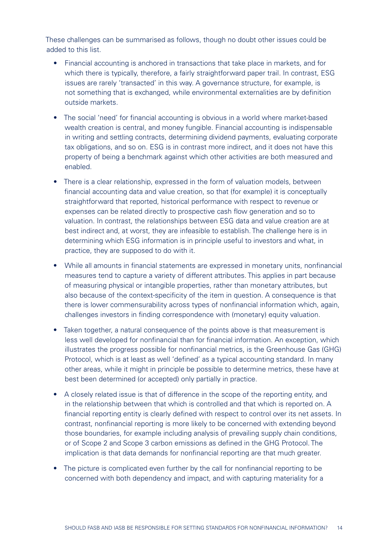These challenges can be summarised as follows, though no doubt other issues could be added to this list.

- Financial accounting is anchored in transactions that take place in markets, and for which there is typically, therefore, a fairly straightforward paper trail. In contrast, ESG issues are rarely 'transacted' in this way. A governance structure, for example, is not something that is exchanged, while environmental externalities are by definition outside markets.
- The social 'need' for financial accounting is obvious in a world where market-based wealth creation is central, and money fungible. Financial accounting is indispensable in writing and settling contracts, determining dividend payments, evaluating corporate tax obligations, and so on. ESG is in contrast more indirect, and it does not have this property of being a benchmark against which other activities are both measured and enabled.
- There is a clear relationship, expressed in the form of valuation models, between financial accounting data and value creation, so that (for example) it is conceptually straightforward that reported, historical performance with respect to revenue or expenses can be related directly to prospective cash flow generation and so to valuation. In contrast, the relationships between ESG data and value creation are at best indirect and, at worst, they are infeasible to establish. The challenge here is in determining which ESG information is in principle useful to investors and what, in practice, they are supposed to do with it.
- While all amounts in financial statements are expressed in monetary units, nonfinancial measures tend to capture a variety of different attributes. This applies in part because of measuring physical or intangible properties, rather than monetary attributes, but also because of the context-specificity of the item in question. A consequence is that there is lower commensurability across types of nonfinancial information which, again, challenges investors in finding correspondence with (monetary) equity valuation.
- Taken together, a natural consequence of the points above is that measurement is less well developed for nonfinancial than for financial information. An exception, which illustrates the progress possible for nonfinancial metrics, is the Greenhouse Gas (GHG) Protocol, which is at least as well 'defined' as a typical accounting standard. In many other areas, while it might in principle be possible to determine metrics, these have at best been determined (or accepted) only partially in practice.
- A closely related issue is that of difference in the scope of the reporting entity, and in the relationship between that which is controlled and that which is reported on. A financial reporting entity is clearly defined with respect to control over its net assets. In contrast, nonfinancial reporting is more likely to be concerned with extending beyond those boundaries, for example including analysis of prevailing supply chain conditions, or of Scope 2 and Scope 3 carbon emissions as defined in the GHG Protocol. The implication is that data demands for nonfinancial reporting are that much greater.
- The picture is complicated even further by the call for nonfinancial reporting to be concerned with both dependency and impact, and with capturing materiality for a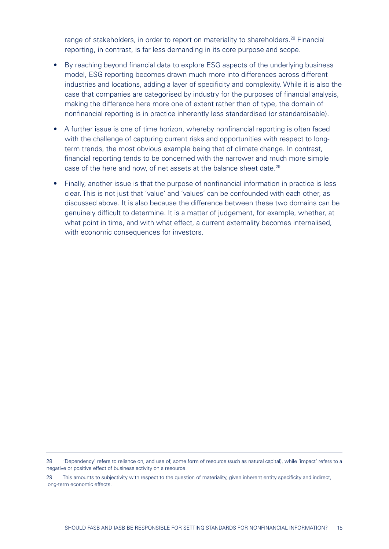range of stakeholders, in order to report on materiality to shareholders.<sup>28</sup> Financial reporting, in contrast, is far less demanding in its core purpose and scope.

- By reaching beyond financial data to explore ESG aspects of the underlying business model, ESG reporting becomes drawn much more into differences across different industries and locations, adding a layer of specificity and complexity. While it is also the case that companies are categorised by industry for the purposes of financial analysis, making the difference here more one of extent rather than of type, the domain of nonfinancial reporting is in practice inherently less standardised (or standardisable).
- A further issue is one of time horizon, whereby nonfinancial reporting is often faced with the challenge of capturing current risks and opportunities with respect to longterm trends, the most obvious example being that of climate change. In contrast, financial reporting tends to be concerned with the narrower and much more simple case of the here and now, of net assets at the balance sheet date.<sup>29</sup>
- Finally, another issue is that the purpose of nonfinancial information in practice is less clear. This is not just that 'value' and 'values' can be confounded with each other, as discussed above. It is also because the difference between these two domains can be genuinely difficult to determine. It is a matter of judgement, for example, whether, at what point in time, and with what effect, a current externality becomes internalised, with economic consequences for investors.

<sup>28 &#</sup>x27;Dependency' refers to reliance on, and use of, some form of resource (such as natural capital), while 'impact' refers to a negative or positive effect of business activity on a resource.

<sup>29</sup> This amounts to subjectivity with respect to the question of materiality, given inherent entity specificity and indirect, long-term economic effects.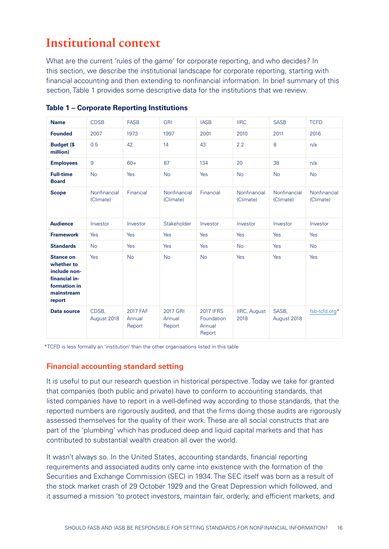# <span id="page-15-0"></span>**Institutional context**

What are the current 'rules of the game' for corporate reporting, and who decides? In this section, we describe the institutional landscape for corporate reporting, starting with financial accounting and then extending to nonfinancial information. In brief summary of this section, Table 1 provides some descriptive data for the institutions that we review.

| <b>Name</b>                                                                                             | <b>CDSB</b>               | <b>FASB</b>                  | <b>GRI</b>                   | <b>IASB</b>                                        | <b>IIRC</b>                 | <b>SASB</b>               | <b>TCFD</b>               |
|---------------------------------------------------------------------------------------------------------|---------------------------|------------------------------|------------------------------|----------------------------------------------------|-----------------------------|---------------------------|---------------------------|
| <b>Founded</b>                                                                                          | 2007                      | 1973                         | 1997                         | 2001                                               | 2010                        | 2011                      | 2016                      |
| <b>Budget (\$</b><br>million)                                                                           | 0.5                       | 42                           | 14                           | 43                                                 | 2.2                         | 8                         | n/a                       |
| <b>Employees</b>                                                                                        | 9                         | $60+$                        | 87                           | 134                                                | 20                          | 38                        | n/a                       |
| <b>Full-time</b><br><b>Board</b>                                                                        | <b>No</b>                 | Yes                          | <b>No</b>                    | Yes                                                | <b>No</b>                   | <b>No</b>                 | <b>No</b>                 |
| <b>Scope</b>                                                                                            | Nonfinancial<br>(Climate) | Financial                    | Nonfinancial<br>(Climate)    | Financial                                          | Nonfinancial<br>(Climate)   | Nonfinancial<br>(Climate) | Nonfinancial<br>(Climate) |
| <b>Audience</b>                                                                                         | Investor                  | Investor                     | Stakeholder                  | Investor                                           | Investor                    | Investor                  | Investor                  |
| <b>Framework</b>                                                                                        | Yes                       | Yes                          | Yes                          | Yes                                                | Yes                         | Yes                       | Yes                       |
| <b>Standards</b>                                                                                        | <b>No</b>                 | <b>Yes</b>                   | Yes                          | Yes                                                | <b>No</b>                   | Yes                       | <b>No</b>                 |
| <b>Stance on</b><br>whether to<br>include non-<br>financial in-<br>formation in<br>mainstream<br>report | Yes                       | <b>No</b>                    | <b>No</b>                    | <b>No</b>                                          | Yes                         | Yes                       | Yes                       |
| <b>Data source</b>                                                                                      | CDSB,<br>August 2018      | 2017 FAF<br>Annual<br>Report | 2017 GRI<br>Annual<br>Report | <b>2017 IFRS</b><br>Foundation<br>Annual<br>Report | <b>IIRC, August</b><br>2018 | SASB,<br>August 2018      | fsb-tcfd.org*             |

**Table 1 – Corporate Reporting Institutions**

\*TCFD is less formally an 'institution' than the other organisations listed in this table

## **Financial accounting standard setting**

It is useful to put our research question in historical perspective. Today we take for granted that companies (both public and private) have to conform to accounting standards, that listed companies have to report in a well-defined way according to those standards, that the reported numbers are rigorously audited, and that the firms doing those audits are rigorously assessed themselves for the quality of their work. These are all social constructs that are part of the 'plumbing' which has produced deep and liquid capital markets and that has contributed to substantial wealth creation all over the world.

It wasn't always so. In the United States, accounting standards, financial reporting requirements and associated audits only came into existence with the formation of the Securities and Exchange Commission (SEC) in 1934. The SEC itself was born as a result of the stock market crash of 29 October 1929 and the Great Depression which followed, and it assumed a mission 'to protect investors, maintain fair, orderly, and efficient markets, and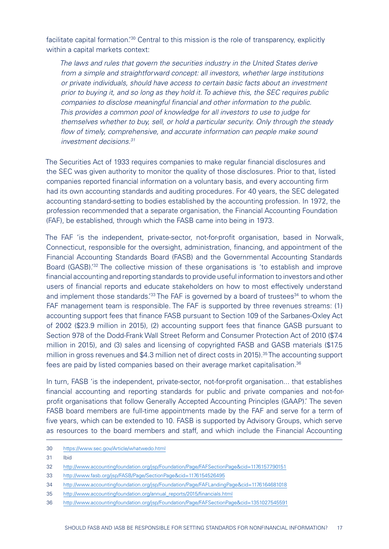facilitate capital formation.<sup>'30</sup> Central to this mission is the role of transparency, explicitly within a capital markets context:

*The laws and rules that govern the securities industry in the United States derive from a simple and straightforward concept: all investors, whether large institutions or private individuals, should have access to certain basic facts about an investment prior to buying it, and so long as they hold it. To achieve this, the SEC requires public companies to disclose meaningful financial and other information to the public. This provides a common pool of knowledge for all investors to use to judge for themselves whether to buy, sell, or hold a particular security. Only through the steady flow of timely, comprehensive, and accurate information can people make sound investment decisions.31*

The Securities Act of 1933 requires companies to make regular financial disclosures and the SEC was given authority to monitor the quality of those disclosures. Prior to that, listed companies reported financial information on a voluntary basis, and every accounting firm had its own accounting standards and auditing procedures. For 40 years, the SEC delegated accounting standard-setting to bodies established by the accounting profession. In 1972, the profession recommended that a separate organisation, the Financial Accounting Foundation (FAF), be established, through which the FASB came into being in 1973.

The FAF 'is the independent, private-sector, not-for-profit organisation, based in Norwalk, Connecticut, responsible for the oversight, administration, financing, and appointment of the Financial Accounting Standards Board (FASB) and the Governmental Accounting Standards Board (GASB).<sup>'32</sup> The collective mission of these organisations is 'to establish and improve financial accounting and reporting standards to provide useful information to investors and other users of financial reports and educate stakeholders on how to most effectively understand and implement those standards.<sup>'33</sup> The FAF is governed by a board of trustees<sup>34</sup> to whom the FAF management team is responsible. The FAF is supported by three revenues streams: (1) accounting support fees that finance FASB pursuant to Section 109 of the Sarbanes-Oxley Act of 2002 (\$23.9 million in 2015), (2) accounting support fees that finance GASB pursuant to Section 978 of the Dodd-Frank Wall Street Reform and Consumer Protection Act of 2010 (\$7.4 million in 2015), and (3) sales and licensing of copyrighted FASB and GASB materials (\$17.5 million in gross revenues and \$4.3 million net of direct costs in 2015).<sup>35</sup> The accounting support fees are paid by listed companies based on their average market capitalisation.36

In turn, FASB 'is the independent, private-sector, not-for-profit organisation... that establishes financial accounting and reporting standards for public and private companies and not-forprofit organisations that follow Generally Accepted Accounting Principles (GAAP).' The seven FASB board members are full-time appointments made by the FAF and serve for a term of five years, which can be extended to 10. FASB is supported by Advisory Groups, which serve as resources to the board members and staff, and which include the Financial Accounting

- 30 <https://www.sec.gov/Article/whatwedo.html>
- 31 Ibid

- 33 <http://www.fasb.org/jsp/FASB/Page/SectionPage&cid=1176154526495>
- 34 <http://www.accountingfoundation.org/jsp/Foundation/Page/FAFLandingPage&cid=1176164681018>
- 35 [http://www.accountingfoundation.org/annual\\_reports/2015/financials.html](http://www.accountingfoundation.org/annual_reports/2015/financials.html)
- 36 <http://www.accountingfoundation.org/jsp/Foundation/Page/FAFSectionPage&cid=1351027545591>

<sup>32</sup> <http://www.accountingfoundation.org/jsp/Foundation/Page/FAFSectionPage&cid=1176157790151>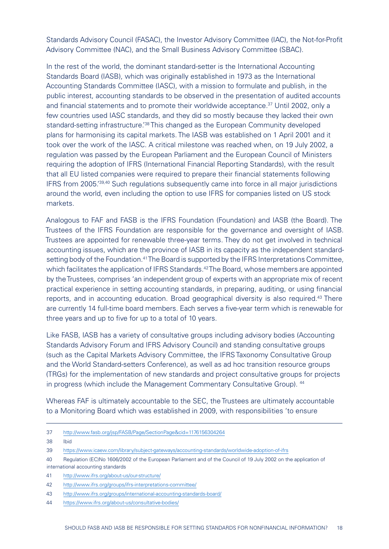Standards Advisory Council (FASAC), the Investor Advisory Committee (IAC), the Not-for-Profit Advisory Committee (NAC), and the Small Business Advisory Committee (SBAC).

In the rest of the world, the dominant standard-setter is the International Accounting Standards Board (IASB), which was originally established in 1973 as the International Accounting Standards Committee (IASC), with a mission to formulate and publish, in the public interest, accounting standards to be observed in the presentation of audited accounts and financial statements and to promote their worldwide acceptance.37 Until 2002, only a few countries used IASC standards, and they did so mostly because they lacked their own standard-setting infrastructure.<sup>'38</sup> This changed as the European Community developed plans for harmonising its capital markets. The IASB was established on 1 April 2001 and it took over the work of the IASC. A critical milestone was reached when, on 19 July 2002, a regulation was passed by the European Parliament and the European Council of Ministers requiring the adoption of IFRS (International Financial Reporting Standards), with the result that all EU listed companies were required to prepare their financial statements following IFRS from 2005.'39,40 Such regulations subsequently came into force in all major jurisdictions around the world, even including the option to use IFRS for companies listed on US stock markets.

Analogous to FAF and FASB is the IFRS Foundation (Foundation) and IASB (the Board). The Trustees of the IFRS Foundation are responsible for the governance and oversight of IASB. Trustees are appointed for renewable three-year terms. They do not get involved in technical accounting issues, which are the province of IASB in its capacity as the independent standardsetting body of the Foundation.<sup>41</sup> The Board is supported by the IFRS Interpretations Committee, which facilitates the application of IFRS Standards.<sup>42</sup> The Board, whose members are appointed by the Trustees, comprises 'an independent group of experts with an appropriate mix of recent practical experience in setting accounting standards, in preparing, auditing, or using financial reports, and in accounting education. Broad geographical diversity is also required.<sup>43</sup> There are currently 14 full-time board members. Each serves a five-year term which is renewable for three years and up to five for up to a total of 10 years.

Like FASB, IASB has a variety of consultative groups including advisory bodies (Accounting Standards Advisory Forum and IFRS Advisory Council) and standing consultative groups (such as the Capital Markets Advisory Committee, the IFRS Taxonomy Consultative Group and the World Standard-setters Conference), as well as ad hoc transition resource groups (TRGs) for the implementation of new standards and project consultative groups for projects in progress (which include the Management Commentary Consultative Group). 44

Whereas FAF is ultimately accountable to the SEC, the Trustees are ultimately accountable to a Monitoring Board which was established in 2009, with responsibilities 'to ensure

- 37 <http://www.fasb.org/jsp/FASB/Page/SectionPage&cid=1176156304264>
- 38 Ibid

- 40 [Regulation \(EC\)No 1606/2002 of the European Parliament and of the Council of 19 July 2002 on the application of](http://eur-lex.europa.eu/legal-content/EN/TXT/?uri=CELEX:32002R1606)  [international accounting standards](http://eur-lex.europa.eu/legal-content/EN/TXT/?uri=CELEX:32002R1606)
- 41 <http://www.ifrs.org/about-us/our-structure/>
- 42 <http://www.ifrs.org/groups/ifrs-interpretations-committee/>
- 43 <http://www.ifrs.org/groups/international-accounting-standards-board/>

<sup>39</sup> <https://www.icaew.com/library/subject-gateways/accounting-standards/worldwide-adoption-of-ifrs>

<sup>44</sup> <https://www.ifrs.org/about-us/consultative-bodies/>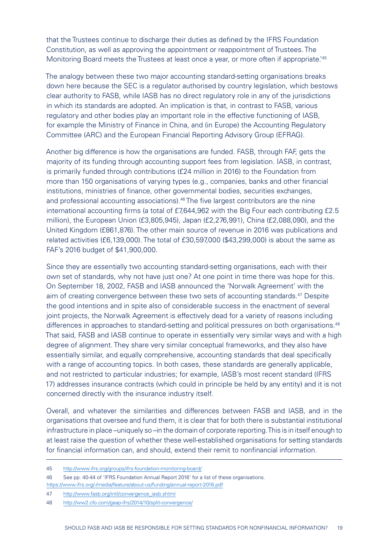that the Trustees continue to discharge their duties as defined by the IFRS Foundation Constitution, as well as approving the appointment or reappointment of Trustees. The Monitoring Board meets the Trustees at least once a year, or more often if appropriate.<sup>'45</sup>

The analogy between these two major accounting standard-setting organisations breaks down here because the SEC is a regulator authorised by country legislation, which bestows clear authority to FASB, while IASB has no direct regulatory role in any of the jurisdictions in which its standards are adopted. An implication is that, in contrast to FASB, various regulatory and other bodies play an important role in the effective functioning of IASB, for example the Ministry of Finance in China, and (in Europe) the Accounting Regulatory Committee (ARC) and the European Financial Reporting Advisory Group (EFRAG).

Another big difference is how the organisations are funded. FASB, through FAF, gets the majority of its funding through accounting support fees from legislation. IASB, in contrast, is primarily funded through contributions (£24 million in 2016) to the Foundation from more than 150 organisations of varying types (e.g., companies, banks and other financial institutions, ministries of finance, other governmental bodies, securities exchanges, and professional accounting associations).<sup>46</sup> The five largest contributors are the nine international accounting firms (a total of £7,644,962 with the Big Four each contributing £2.5 million), the European Union (£3,805,945), Japan (£2,276,991), China (£2,088,090), and the United Kingdom (£861,876). The other main source of revenue in 2016 was publications and related activities (£6,139,000). The total of £30,597,000 (\$43,299,000) is about the same as FAF's 2016 budget of \$41,900,000.

Since they are essentially two accounting standard-setting organisations, each with their own set of standards, why not have just one? At one point in time there was hope for this. On September 18, 2002, FASB and IASB announced the 'Norwalk Agreement' with the aim of creating convergence between these two sets of accounting standards.47 Despite the good intentions and in spite also of considerable success in the enactment of several joint projects, the Norwalk Agreement is effectively dead for a variety of reasons including differences in approaches to standard-setting and political pressures on both organisations.<sup>48</sup> That said, FASB and IASB continue to operate in essentially very similar ways and with a high degree of alignment. They share very similar conceptual frameworks, and they also have essentially similar, and equally comprehensive, accounting standards that deal specifically with a range of accounting topics. In both cases, these standards are generally applicable, and not restricted to particular industries; for example, IASB's most recent standard (IFRS 17) addresses insurance contracts (which could in principle be held by any entity) and it is not concerned directly with the insurance industry itself.

Overall, and whatever the similarities and differences between FASB and IASB, and in the organisations that oversee and fund them, it is clear that for both there is substantial institutional infrastructure in place –uniquely so –in the domain of corporate reporting. This is in itself enough to at least raise the question of whether these well-established organisations for setting standards for financial information can, and should, extend their remit to nonfinancial information.

<sup>45</sup> <http://www.ifrs.org/groups/ifrs-foundation-monitoring-board/>

<sup>46</sup> See pp. 40-44 of 'IFRS Foundation Annual Report 2016' for a list of these organisations. <https://www.ifrs.org/-/media/feature/about-us/funding/annual-report-2016.pdf>

<sup>47</sup> [http://www.fasb.org/intl/convergence\\_iasb.shtml](http://www.fasb.org/intl/convergence_iasb.shtml)

<sup>48</sup> <http://ww2.cfo.com/gaap-ifrs/2014/10/split-convergence/>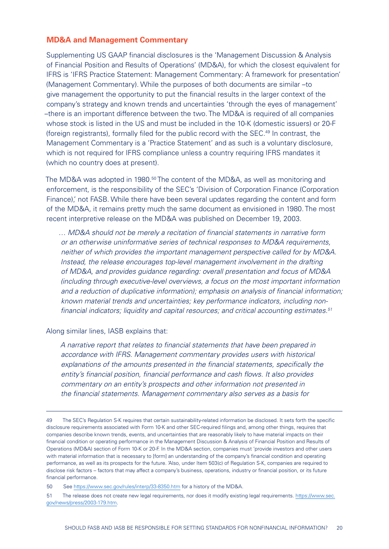#### <span id="page-19-0"></span>**MD&A and Management Commentary**

Supplementing US GAAP financial disclosures is the 'Management Discussion & Analysis of Financial Position and Results of Operations' (MD&A), for which the closest equivalent for IFRS is 'IFRS Practice Statement: Management Commentary: A framework for presentation' (Management Commentary). While the purposes of both documents are similar –to give management the opportunity to put the financial results in the larger context of the company's strategy and known trends and uncertainties 'through the eyes of management' –there is an important difference between the two. The MD&A is required of all companies whose stock is listed in the US and must be included in the 10-K (domestic issuers) or 20-F (foreign registrants), formally filed for the public record with the SEC.49 In contrast, the Management Commentary is a 'Practice Statement' and as such is a voluntary disclosure, which is not required for IFRS compliance unless a country requiring IFRS mandates it (which no country does at present).

The MD&A was adopted in 1980.<sup>50</sup> The content of the MD&A, as well as monitoring and enforcement, is the responsibility of the SEC's 'Division of Corporation Finance (Corporation Finance), not FASB. While there have been several updates regarding the content and form of the MD&A, it remains pretty much the same document as envisioned in 1980. The most recent interpretive release on the MD&A was published on December 19, 2003.

*… MD&A should not be merely a recitation of financial statements in narrative form or an otherwise uninformative series of technical responses to MD&A requirements, neither of which provides the important management perspective called for by MD&A. Instead, the release encourages top-level management involvement in the drafting of MD&A, and provides guidance regarding: overall presentation and focus of MD&A (including through executive-level overviews, a focus on the most important information and a reduction of duplicative information); emphasis on analysis of financial information; known material trends and uncertainties; key performance indicators, including nonfinancial indicators; liquidity and capital resources; and critical accounting estimates.51*

Along similar lines, IASB explains that:

*A narrative report that relates to financial statements that have been prepared in accordance with IFRS. Management commentary provides users with historical explanations of the amounts presented in the financial statements, specifically the entity's financial position, financial performance and cash flows. It also provides commentary on an entity's prospects and other information not presented in the financial statements. Management commentary also serves as a basis for* 

<sup>49</sup> The SEC's Regulation S-K requires that certain sustainability-related information be disclosed. It sets forth the specific disclosure requirements associated with Form 10-K and other SEC-required filings and, among other things, requires that companies describe known trends, events, and uncertainties that are reasonably likely to have material impacts on their financial condition or operating performance in the Management Discussion & Analysis of Financial Position and Results of Operations (MD&A) section of Form 10-K or 20-F. In the MD&A section, companies must 'provide investors and other users with material information that is necessary to [form] an understanding of the company's financial condition and operating performance, as well as its prospects for the future. 'Also, under Item 503(c) of Regulation S-K, companies are required to disclose risk factors – factors that may affect a company's business, operations, industry or financial position, or its future financial performance.

<sup>50</sup> See <https://www.sec.gov/rules/interp/33-8350.htm> for a history of the MD&A.

<sup>51</sup> The release does not create new legal requirements, nor does it modify existing legal requirements. [https://www.sec.](https://www.sec.gov/news/press/2003-179.htm) [gov/news/press/2003-179.htm.](https://www.sec.gov/news/press/2003-179.htm)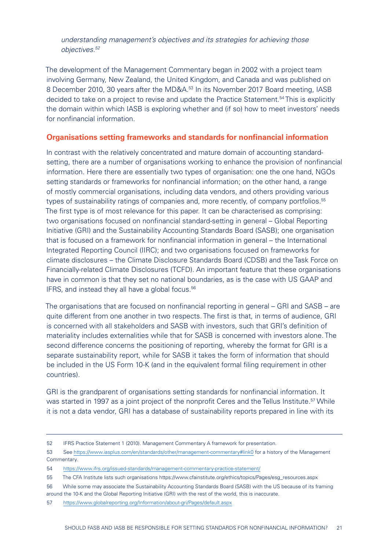<span id="page-20-0"></span>*understanding management's objectives and its strategies for achieving those objectives.52*

The development of the Management Commentary began in 2002 with a project team involving Germany, New Zealand, the United Kingdom, and Canada and was published on 8 December 2010, 30 years after the MD&A.<sup>53</sup> In its November 2017 Board meeting, IASB decided to take on a project to revise and update the Practice Statement.54 This is explicitly the domain within which IASB is exploring whether and (if so) how to meet investors' needs for nonfinancial information.

#### **Organisations setting frameworks and standards for nonfinancial information**

In contrast with the relatively concentrated and mature domain of accounting standardsetting, there are a number of organisations working to enhance the provision of nonfinancial information. Here there are essentially two types of organisation: one the one hand, NGOs setting standards or frameworks for nonfinancial information; on the other hand, a range of mostly commercial organisations, including data vendors, and others providing various types of sustainability ratings of companies and, more recently, of company portfolios.<sup>55</sup> The first type is of most relevance for this paper. It can be characterised as comprising: two organisations focused on nonfinancial standard-setting in general – Global Reporting Initiative (GRI) and the Sustainability Accounting Standards Board (SASB); one organisation that is focused on a framework for nonfinancial information in general – the International Integrated Reporting Council (IIRC); and two organisations focused on frameworks for climate disclosures – the Climate Disclosure Standards Board (CDSB) and the Task Force on Financially-related Climate Disclosures (TCFD). An important feature that these organisations have in common is that they set no national boundaries, as is the case with US GAAP and IFRS, and instead they all have a global focus.<sup>56</sup>

The organisations that are focused on nonfinancial reporting in general – GRI and SASB – are quite different from one another in two respects. The first is that, in terms of audience, GRI is concerned with all stakeholders and SASB with investors, such that GRI's definition of materiality includes externalities while that for SASB is concerned with investors alone. The second difference concerns the positioning of reporting, whereby the format for GRI is a separate sustainability report, while for SASB it takes the form of information that should be included in the US Form 10-K (and in the equivalent formal filing requirement in other countries).

GRI is the grandparent of organisations setting standards for nonfinancial information. It was started in 1997 as a joint project of the nonprofit Ceres and the Tellus Institute.<sup>57</sup> While it is not a data vendor, GRI has a database of sustainability reports prepared in line with its

<sup>52</sup> IFRS Practice Statement 1 (2010). Management Commentary A framework for presentation.

<sup>53</sup> See https://www.iasplus.com/en/standards/other/management-commentary#link0 for a history of the Management Commentary.

<sup>54</sup> <https://www.ifrs.org/issued-standards/management-commentary-practice-statement/>

<sup>55</sup> The CFA Institute lists such organisations [https://www.cfainstitute.org/ethics/topics/Pages/esg\\_resources.aspx](https://www.cfainstitute.org/ethics/topics/Pages/esg_resources.aspx)

<sup>56</sup> While some may associate the Sustainability Accounting Standards Board (SASB) with the US because of its framing around the 10-K and the Global Reporting Initiative (GRI) with the rest of the world, this is inaccurate.

<sup>57</sup> <https://www.globalreporting.org/Information/about-gri/Pages/default.aspx>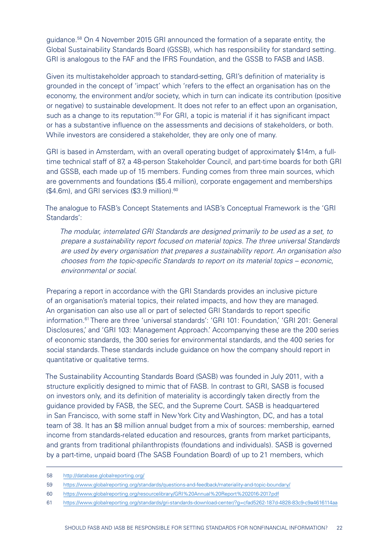guidance.58 On 4 November 2015 GRI announced the formation of a separate entity, the Global Sustainability Standards Board (GSSB), which has responsibility for standard setting. GRI is analogous to the FAF and the IFRS Foundation, and the GSSB to FASB and IASB.

Given its multistakeholder approach to standard-setting, GRI's definition of materiality is grounded in the concept of 'impact' which 'refers to the effect an organisation has on the economy, the environment and/or society, which in turn can indicate its contribution (positive or negative) to sustainable development. It does not refer to an effect upon an organisation, such as a change to its reputation.<sup>'59</sup> For GRI, a topic is material if it has significant impact or has a substantive influence on the assessments and decisions of stakeholders, or both. While investors are considered a stakeholder, they are only one of many.

GRI is based in Amsterdam, with an overall operating budget of approximately \$14m, a fulltime technical staff of 87, a 48-person Stakeholder Council, and part-time boards for both GRI and GSSB, each made up of 15 members. Funding comes from three main sources, which are governments and foundations (\$5.4 million), corporate engagement and memberships (\$4.6m), and GRI services (\$3.9 million).<sup>60</sup>

The analogue to FASB's Concept Statements and IASB's Conceptual Framework is the 'GRI Standards':

*The modular, interrelated GRI Standards are designed primarily to be used as a set, to prepare a sustainability report focused on material topics. The three universal Standards are used by every organisation that prepares a sustainability report. An organisation also chooses from the topic-specific Standards to report on its material topics – economic, environmental or social.*

Preparing a report in accordance with the GRI Standards provides an inclusive picture of an organisation's material topics, their related impacts, and how they are managed. An organisation can also use all or part of selected GRI Standards to report specific information.61 There are three 'universal standards': 'GRI 101: Foundation,' 'GRI 201: General Disclosures,' and 'GRI 103: Management Approach.' Accompanying these are the 200 series of economic standards, the 300 series for environmental standards, and the 400 series for social standards. These standards include guidance on how the company should report in quantitative or qualitative terms.

The Sustainability Accounting Standards Board (SASB) was founded in July 2011, with a structure explicitly designed to mimic that of FASB. In contrast to GRI, SASB is focused on investors only, and its definition of materiality is accordingly taken directly from the guidance provided by FASB, the SEC, and the Supreme Court. SASB is headquartered in San Francisco, with some staff in New York City and Washington, DC, and has a total team of 38. It has an \$8 million annual budget from a mix of sources: membership, earned income from standards-related education and resources, grants from market participants, and grants from traditional philanthropists (foundations and individuals). SASB is governed by a part-time, unpaid board (The SASB Foundation Board) of up to 21 members, which

<sup>58</sup> <http://database.globalreporting.org/>

<sup>59</sup> <https://www.globalreporting.org/standards/questions-and-feedback/materiality-and-topic-boundary/>

<sup>60</sup> <https://www.globalreporting.org/resourcelibrary/GRI%20Annual%20Report%202016-2017.pdf>

<sup>61</sup> <https://www.globalreporting.org/standards/gri-standards-download-center/?g=cfad5262-187d-4828-83c9-c9a4616114aa>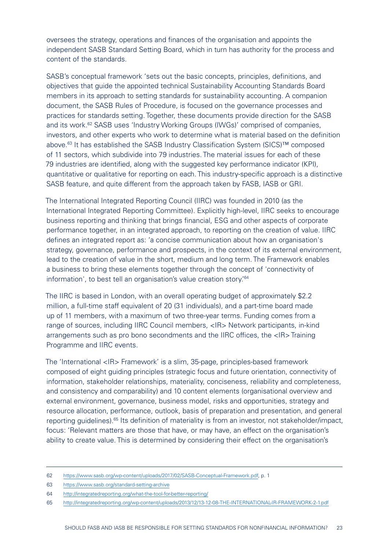oversees the strategy, operations and finances of the organisation and appoints the independent SASB Standard Setting Board, which in turn has authority for the process and content of the standards.

SASB's conceptual framework 'sets out the basic concepts, principles, definitions, and objectives that guide the appointed technical Sustainability Accounting Standards Board members in its approach to setting standards for sustainability accounting. A companion document, the SASB Rules of Procedure, is focused on the governance processes and practices for standards setting. Together, these documents provide direction for the SASB and its work.62 SASB uses 'Industry Working Groups (IWGs)' comprised of companies, investors, and other experts who work to determine what is material based on the definition above.63 It has established the SASB Industry Classification System (SICS)™ composed of 11 sectors, which subdivide into 79 industries. The material issues for each of these 79 industries are identified, along with the suggested key performance indicator (KPI), quantitative or qualitative for reporting on each. This industry-specific approach is a distinctive SASB feature, and quite different from the approach taken by FASB, IASB or GRI.

The International Integrated Reporting Council (IIRC) was founded in 2010 (as the International Integrated Reporting Committee). Explicitly high-level, IIRC seeks to encourage business reporting and thinking that brings financial, ESG and other aspects of corporate performance together, in an integrated approach, to reporting on the creation of value. IIRC defines an integrated report as: 'a concise communication about how an organisation's strategy, governance, performance and prospects, in the context of its external environment, lead to the creation of value in the short, medium and long term. The Framework enables a business to bring these elements together through the concept of 'connectivity of information', to best tell an organisation's value creation story.'64

The IIRC is based in London, with an overall operating budget of approximately \$2.2 million, a full-time staff equivalent of 20 (31 individuals), and a part-time board made up of 11 members, with a maximum of two three-year terms. Funding comes from a range of sources, including IIRC Council members, <IR> Network participants, in-kind arrangements such as pro bono secondments and the IIRC offices, the <IR> Training Programme and IIRC events.

The 'International <IR> Framework' is a slim, 35-page, principles-based framework composed of eight guiding principles (strategic focus and future orientation, connectivity of information, stakeholder relationships, materiality, conciseness, reliability and completeness, and consistency and comparability) and 10 content elements (organisational overview and external environment, governance, business model, risks and opportunities, strategy and resource allocation, performance, outlook, basis of preparation and presentation, and general reporting guidelines).65 Its definition of materiality is from an investor, not stakeholder/impact, focus: 'Relevant matters are those that have, or may have, an effect on the organisation's ability to create value. This is determined by considering their effect on the organisation's

<sup>62</sup> <https://www.sasb.org/wp-content/uploads/2017/02/SASB-Conceptual-Framework.pdf>, p. 1

<sup>63</sup> [https://www.sasb.org/standard-setting-archive](https://www.sasb.org/standard-setting-archive/)

<sup>64</sup> <http://integratedreporting.org/what-the-tool-for-better-reporting/>

<sup>65</sup> <http://integratedreporting.org/wp-content/uploads/2013/12/13-12-08-THE-INTERNATIONAL-IR-FRAMEWORK-2-1.pdf>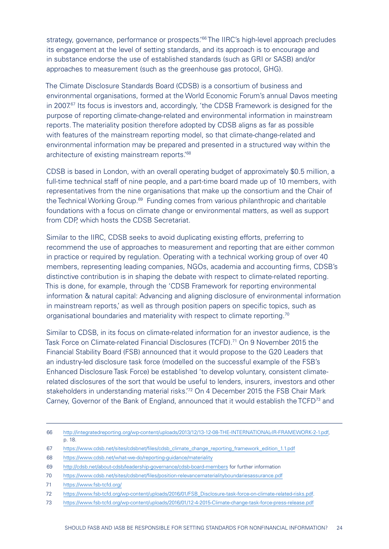strategy, governance, performance or prospects.<sup>'66</sup> The IIRC's high-level approach precludes its engagement at the level of setting standards, and its approach is to encourage and in substance endorse the use of established standards (such as GRI or SASB) and/or approaches to measurement (such as the greenhouse gas protocol, GHG).

The Climate Disclosure Standards Board (CDSB) is a consortium of business and environmental organisations, formed at the World Economic Forum's annual Davos meeting in 2007 $\frac{67}{15}$  Its focus is investors and, accordingly, 'the CDSB Framework is designed for the purpose of reporting climate-change-related and environmental information in mainstream reports. The materiality position therefore adopted by CDSB aligns as far as possible with features of the mainstream reporting model, so that climate-change-related and environmental information may be prepared and presented in a structured way within the architecture of existing mainstream reports.'68

CDSB is based in London, with an overall operating budget of approximately \$0.5 million, a full-time technical staff of nine people, and a part-time board made up of 10 members, with representatives from the nine organisations that make up the consortium and the Chair of the Technical Working Group.<sup>69</sup> Funding comes from various philanthropic and charitable foundations with a focus on climate change or environmental matters, as well as support from CDP, which hosts the CDSB Secretariat.

Similar to the IIRC, CDSB seeks to avoid duplicating existing efforts, preferring to recommend the use of approaches to measurement and reporting that are either common in practice or required by regulation. Operating with a technical working group of over 40 members, representing leading companies, NGOs, academia and accounting firms, CDSB's distinctive contribution is in shaping the debate with respect to climate-related reporting. This is done, for example, through the 'CDSB Framework for reporting environmental information & natural capital: Advancing and aligning disclosure of environmental information in mainstream reports,' as well as through position papers on specific topics, such as organisational boundaries and materiality with respect to climate reporting.<sup>70</sup>

Similar to CDSB, in its focus on climate-related information for an investor audience, is the Task Force on Climate-related Financial Disclosures (TCFD).<sup>71</sup> On 9 November 2015 the Financial Stability Board (FSB) announced that it would propose to the G20 Leaders that an industry-led disclosure task force (modelled on the successful example of the FSB's Enhanced Disclosure Task Force) be established 'to develop voluntary, consistent climaterelated disclosures of the sort that would be useful to lenders, insurers, investors and other stakeholders in understanding material risks.'72 On 4 December 2015 the FSB Chair Mark Carney, Governor of the Bank of England, announced that it would establish the TCFD<sup>73</sup> and

<sup>66</sup> [http://integratedreporting.org/wp-content/uploads/2013/12/13-12-08-THE-INTERNATIONAL-IR-FRAMEWORK-2-1.pdf,](http://integratedreporting.org/wp-content/uploads/2013/12/13-12-08-THE-INTERNATIONAL-IR-FRAMEWORK-2-1.pdf) p. 18.

<sup>67</sup> [https://www.cdsb.net/sites/cdsbnet/files/cdsb\\_climate\\_change\\_reporting\\_framework\\_edition\\_1.1.pdf](https://www.cdsb.net/sites/cdsbnet/files/cdsb_climate_change_reporting_framework_edition_1.1.pdf)

<sup>68</sup> <https://www.cdsb.net/what-we-do/reporting-guidance/materiality>

<sup>69</sup> <http://cdsb.net/about-cdsb/leadership-governance/cdsb-board-members> for further information

<sup>70</sup> <https://www.cdsb.net/sites/cdsbnet/files/position-relevancematerialityboundariesassurance.pdf>

<sup>71</sup> <https://www.fsb-tcfd.org/>

<sup>72</sup> [https://www.fsb-tcfd.org/wp-content/uploads/2016/01/FSB\\_Disclosure-task-force-on-climate-related-risks.pdf](https://www.fsb-tcfd.org/wp-content/uploads/2016/01/FSB_Disclosure-task-force-on-climate-related-risks.pdf).

<sup>73</sup> <https://www.fsb-tcfd.org/wp-content/uploads/2016/01/12-4-2015-Climate-change-task-force-press-release.pdf>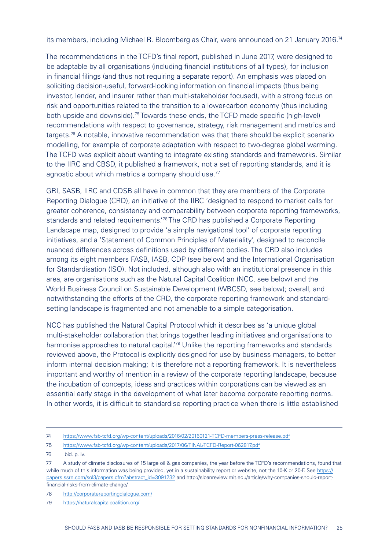its members, including Michael R. Bloomberg as Chair, were announced on 21 January 2016.<sup>74</sup>

The recommendations in the TCFD's final report, published in June 2017, were designed to be adaptable by all organisations (including financial institutions of all types), for inclusion in financial filings (and thus not requiring a separate report). An emphasis was placed on soliciting decision-useful, forward-looking information on financial impacts (thus being investor, lender, and insurer rather than multi-stakeholder focused), with a strong focus on risk and opportunities related to the transition to a lower-carbon economy (thus including both upside and downside).75 Towards these ends, the TCFD made specific (high-level) recommendations with respect to governance, strategy, risk management and metrics and targets.76 A notable, innovative recommendation was that there should be explicit scenario modelling, for example of corporate adaptation with respect to two-degree global warming. The TCFD was explicit about wanting to integrate existing standards and frameworks. Similar to the IIRC and CBSD, it published a framework, not a set of reporting standards, and it is agnostic about which metrics a company should use.<sup>77</sup>

GRI, SASB, IIRC and CDSB all have in common that they are members of the Corporate Reporting Dialogue (CRD), an initiative of the IIRC 'designed to respond to market calls for greater coherence, consistency and comparability between corporate reporting frameworks, standards and related requirements.<sup>78</sup> The CRD has published a Corporate Reporting Landscape map, designed to provide 'a simple navigational tool' of corporate reporting initiatives, and a 'Statement of Common Principles of Materiality', designed to reconcile nuanced differences across definitions used by different bodies. The CRD also includes among its eight members FASB, IASB, CDP (see below) and the International Organisation for Standardisation (ISO). Not included, although also with an institutional presence in this area, are organisations such as the Natural Capital Coalition (NCC, see below) and the World Business Council on Sustainable Development (WBCSD, see below); overall, and notwithstanding the efforts of the CRD, the corporate reporting framework and standardsetting landscape is fragmented and not amenable to a simple categorisation.

NCC has published the Natural Capital Protocol which it describes as 'a unique global multi-stakeholder collaboration that brings together leading initiatives and organisations to harmonise approaches to natural capital.<sup>79</sup> Unlike the reporting frameworks and standards reviewed above, the Protocol is explicitly designed for use by business managers, to better inform internal decision making; it is therefore not a reporting framework. It is nevertheless important and worthy of mention in a review of the corporate reporting landscape, because the incubation of concepts, ideas and practices within corporations can be viewed as an essential early stage in the development of what later become corporate reporting norms. In other words, it is difficult to standardise reporting practice when there is little established

<sup>74</sup> <https://www.fsb-tcfd.org/wp-content/uploads/2016/02/20160121-TCFD-members-press-release.pdf>

<sup>75</sup> <https://www.fsb-tcfd.org/wp-content/uploads/2017/06/FINAL-TCFD-Report-062817.pdf>

<sup>76</sup> Ibid. p. iv.

<sup>77</sup> A study of climate disclosures of 15 large oil & gas companies, the year before the TCFD's recommendations, found that while much of this information was being provided, yet in a sustainability report or website, not the 10-K or 20-F. See [https://](https://papers.ssrn.com/sol3/papers.cfm?abstract_id=3091232) [papers.ssrn.com/sol3/papers.cfm?abstract\\_id=3091232](https://papers.ssrn.com/sol3/papers.cfm?abstract_id=3091232) and [http://sloanreview.mit.edu/article/why-companies-should-report](http://sloanreview.mit.edu/article/why-companies-should-report-financial-risks-from-climate-change/)[financial-risks-from-climate-change/](http://sloanreview.mit.edu/article/why-companies-should-report-financial-risks-from-climate-change/)

<sup>78</sup> <http://corporatereportingdialogue.com/>

<sup>79</sup> <https://naturalcapitalcoalition.org/>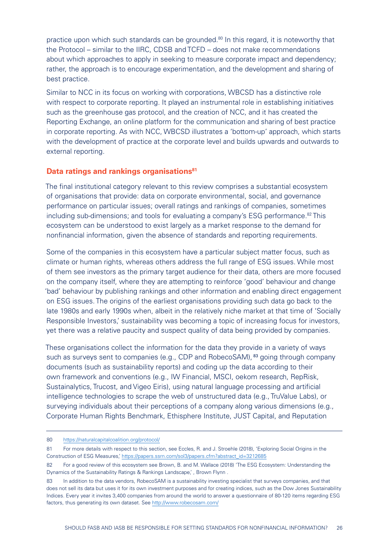<span id="page-25-0"></span>practice upon which such standards can be grounded.<sup>80</sup> In this regard, it is noteworthy that the Protocol – similar to the IIRC, CDSB and TCFD – does not make recommendations about which approaches to apply in seeking to measure corporate impact and dependency; rather, the approach is to encourage experimentation, and the development and sharing of best practice.

Similar to NCC in its focus on working with corporations, WBCSD has a distinctive role with respect to corporate reporting. It played an instrumental role in establishing initiatives such as the greenhouse gas protocol, and the creation of NCC, and it has created the Reporting Exchange, an online platform for the communication and sharing of best practice in corporate reporting. As with NCC, WBCSD illustrates a 'bottom-up' approach, which starts with the development of practice at the corporate level and builds upwards and outwards to external reporting.

#### **Data ratings and rankings organisations**<sup>81</sup>

The final institutional category relevant to this review comprises a substantial ecosystem of organisations that provide: data on corporate environmental, social, and governance performance on particular issues; overall ratings and rankings of companies, sometimes including sub-dimensions; and tools for evaluating a company's ESG performance.<sup>82</sup> This ecosystem can be understood to exist largely as a market response to the demand for nonfinancial information, given the absence of standards and reporting requirements.

Some of the companies in this ecosystem have a particular subject matter focus, such as climate or human rights, whereas others address the full range of ESG issues. While most of them see investors as the primary target audience for their data, others are more focused on the company itself, where they are attempting to reinforce 'good' behaviour and change 'bad' behaviour by publishing rankings and other information and enabling direct engagement on ESG issues. The origins of the earliest organisations providing such data go back to the late 1980s and early 1990s when, albeit in the relatively niche market at that time of 'Socially Responsible Investors,' sustainability was becoming a topic of increasing focus for investors, yet there was a relative paucity and suspect quality of data being provided by companies.

These organisations collect the information for the data they provide in a variety of ways such as surveys sent to companies (e.g., CDP and RobecoSAM), 83 going through company documents (such as sustainability reports) and coding up the data according to their own framework and conventions (e.g., IW Financial, MSCI, oekom research, RepRisk, Sustainalytics, Trucost, and Vigeo Eiris), using natural language processing and artificial intelligence technologies to scrape the web of unstructured data (e.g., TruValue Labs), or surveying individuals about their perceptions of a company along various dimensions (e.g., Corporate Human Rights Benchmark, Ethisphere Institute, JUST Capital, and Reputation

<sup>80</sup> <https://naturalcapitalcoalition.org/protocol/>

<sup>81</sup> For more details with respect to this section, see Eccles, R. and J. Stroehle (2018), 'Exploring Social Origins in the Construction of ESG Measures,' [https://papers.ssrn.com/sol3/papers.cfm?abstract\\_id=3212685](https://papers.ssrn.com/sol3/papers.cfm?abstract_id=3212685)

<sup>82</sup> For a good review of this ecosystem see Brown, B. and M. Wallace (2018) 'The ESG Ecosystem: Understanding the Dynamics of the Sustainability Ratings & Rankings Landscape,', Brown Flynn.

<sup>83</sup> In addition to the data vendors, RobecoSAM is a sustainability investing specialist that surveys companies, and that does not sell its data but uses it for its own investment purposes and for creating indices, such as the Dow Jones Sustainability Indices. Every year it invites 3,400 companies from around the world to answer a questionnaire of 80-120 items regarding ESG factors, thus generating its own dataset. See <http://www.robecosam.com/>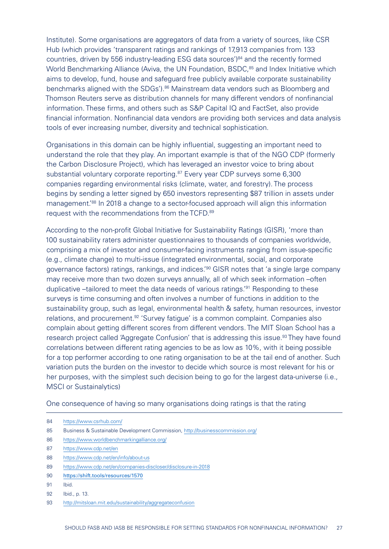Institute). Some organisations are aggregators of data from a variety of sources, like CSR Hub (which provides 'transparent ratings and rankings of 17,913 companies from 133 countries, driven by 556 industry-leading ESG data sources')<sup>84</sup> and the recently formed World Benchmarking Alliance (Aviva, the UN Foundation, BSDC,<sup>85</sup> and Index Initiative which aims to develop, fund, house and safeguard free publicly available corporate sustainability benchmarks aligned with the SDGs').<sup>86</sup> Mainstream data vendors such as Bloomberg and Thomson Reuters serve as distribution channels for many different vendors of nonfinancial information. These firms, and others such as S&P Capital IQ and FactSet, also provide financial information. Nonfinancial data vendors are providing both services and data analysis tools of ever increasing number, diversity and technical sophistication.

Organisations in this domain can be highly influential, suggesting an important need to understand the role that they play. An important example is that of the NGO CDP (formerly the Carbon Disclosure Project), which has leveraged an investor voice to bring about substantial voluntary corporate reporting.<sup>87</sup> Every year CDP surveys some 6,300 companies regarding environmental risks (climate, water, and forestry). The process begins by sending a letter signed by 650 investors representing \$87 trillion in assets under management.'88 In 2018 a change to a sector-focused approach will align this information request with the recommendations from the TCFD.89

According to the non-profit Global Initiative for Sustainability Ratings (GISR), 'more than 100 sustainability raters administer questionnaires to thousands of companies worldwide, comprising a mix of investor and consumer-facing instruments ranging from issue-specific (e.g., climate change) to multi-issue (integrated environmental, social, and corporate governance factors) ratings, rankings, and indices.'90 GISR notes that 'a single large company may receive more than two dozen surveys annually, all of which seek information –often duplicative –tailored to meet the data needs of various ratings.'91 Responding to these surveys is time consuming and often involves a number of functions in addition to the sustainability group, such as legal, environmental health & safety, human resources, investor relations, and procurement.<sup>92</sup> 'Survey fatigue' is a common complaint. Companies also complain about getting different scores from different vendors. The MIT Sloan School has a research project called 'Aggregate Confusion' that is addressing this issue.<sup>93</sup> They have found correlations between different rating agencies to be as low as 10%, with it being possible for a top performer according to one rating organisation to be at the tail end of another. Such variation puts the burden on the investor to decide which source is most relevant for his or her purposes, with the simplest such decision being to go for the largest data-universe (i.e., MSCI or Sustainalytics)

One consequence of having so many organisations doing ratings is that the rating

- 84 <https://www.csrhub.com/>
- 85 Business & Sustainable Development Commission, <http://businesscommission.org/>
- 86 <https://www.worldbenchmarkingalliance.org/>
- 87 <https://www.cdp.net/en>
- 88 <https://www.cdp.net/en/info/about-us>
- 89 <https://www.cdp.net/en/companies-discloser/disclosure-in-2018>
- 90 <https://shift.tools/resources/1570>
- 91 Ibid.
- 92 Ibid., p. 13.
- 93 <http://mitsloan.mit.edu/sustainability/aggregateconfusion>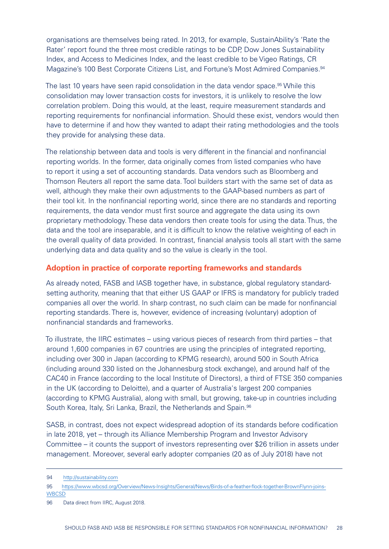<span id="page-27-0"></span>organisations are themselves being rated. In 2013, for example, SustainAbility's 'Rate the Rater' report found the three most credible ratings to be CDP, Dow Jones Sustainability Index, and Access to Medicines Index, and the least credible to be Vigeo Ratings, CR Magazine's 100 Best Corporate Citizens List, and Fortune's Most Admired Companies.94

The last 10 years have seen rapid consolidation in the data vendor space.<sup>95</sup> While this consolidation may lower transaction costs for investors, it is unlikely to resolve the low correlation problem. Doing this would, at the least, require measurement standards and reporting requirements for nonfinancial information. Should these exist, vendors would then have to determine if and how they wanted to adapt their rating methodologies and the tools they provide for analysing these data.

The relationship between data and tools is very different in the financial and nonfinancial reporting worlds. In the former, data originally comes from listed companies who have to report it using a set of accounting standards. Data vendors such as Bloomberg and Thomson Reuters all report the same data. Tool builders start with the same set of data as well, although they make their own adjustments to the GAAP-based numbers as part of their tool kit. In the nonfinancial reporting world, since there are no standards and reporting requirements, the data vendor must first source and aggregate the data using its own proprietary methodology. These data vendors then create tools for using the data. Thus, the data and the tool are inseparable, and it is difficult to know the relative weighting of each in the overall quality of data provided. In contrast, financial analysis tools all start with the same underlying data and data quality and so the value is clearly in the tool.

#### **Adoption in practice of corporate reporting frameworks and standards**

As already noted, FASB and IASB together have, in substance, global regulatory standardsetting authority, meaning that that either US GAAP or IFRS is mandatory for publicly traded companies all over the world. In sharp contrast, no such claim can be made for nonfinancial reporting standards. There is, however, evidence of increasing (voluntary) adoption of nonfinancial standards and frameworks.

To illustrate, the IIRC estimates – using various pieces of research from third parties – that around 1,600 companies in 67 countries are using the principles of integrated reporting, including over 300 in Japan (according to KPMG research), around 500 in South Africa (including around 330 listed on the Johannesburg stock exchange), and around half of the CAC40 in France (according to the local Institute of Directors), a third of FTSE 350 companies in the UK (according to Deloitte), and a quarter of Australia's largest 200 companies (according to KPMG Australia), along with small, but growing, take-up in countries including South Korea, Italy, Sri Lanka, Brazil, the Netherlands and Spain.<sup>96</sup>

SASB, in contrast, does not expect widespread adoption of its standards before codification in late 2018, yet – through its Alliance Membership Program and Investor Advisory Committee – it counts the support of investors representing over \$26 trillion in assets under management. Moreover, several early adopter companies (20 as of July 2018) have not

<sup>94</sup> [http://sustainability.com](http://sustainability.com/)

<sup>95</sup> [https://www.wbcsd.org/Overview/News-Insights/General/News/Birds-of-a-feather-flock-together-BrownFlynn-joins-](https://www.wbcsd.org/Overview/News-Insights/General/News/Birds-of-a-feather-flock-together-BrownFlynn-joins-WBCSD)**[WBCSD](https://www.wbcsd.org/Overview/News-Insights/General/News/Birds-of-a-feather-flock-together-BrownFlynn-joins-WBCSD)** 

<sup>96</sup> Data direct from IIRC, August 2018.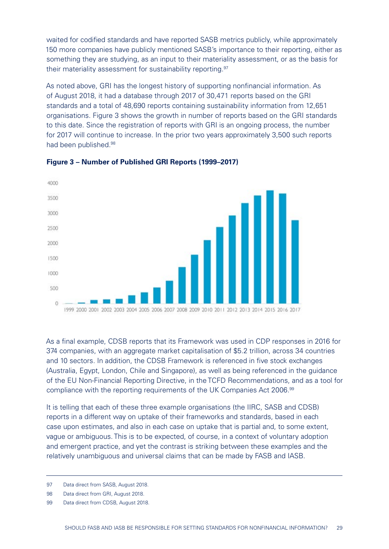waited for codified standards and have reported SASB metrics publicly, while approximately 150 more companies have publicly mentioned SASB's importance to their reporting, either as something they are studying, as an input to their materiality assessment, or as the basis for their materiality assessment for sustainability reporting.<sup>97</sup>

As noted above, GRI has the longest history of supporting nonfinancial information. As of August 2018, it had a database through 2017 of 30,471 reports based on the GRI standards and a total of 48,690 reports containing sustainability information from 12,651 organisations. Figure 3 shows the growth in number of reports based on the GRI standards to this date. Since the registration of reports with GRI is an ongoing process, the number for 2017 will continue to increase. In the prior two years approximately 3,500 such reports had been published.98



#### **Figure 3 – Number of Published GRI Reports (1999–2017)**

As a final example, CDSB reports that its Framework was used in CDP responses in 2016 for 374 companies, with an aggregate market capitalisation of \$5.2 trillion, across 34 countries and 10 sectors. In addition, the CDSB Framework is referenced in five stock exchanges (Australia, Egypt, London, Chile and Singapore), as well as being referenced in the guidance of the EU Non-Financial Reporting Directive, in the TCFD Recommendations, and as a tool for compliance with the reporting requirements of the UK Companies Act 2006.99

It is telling that each of these three example organisations (the IIRC, SASB and CDSB) reports in a different way on uptake of their frameworks and standards, based in each case upon estimates, and also in each case on uptake that is partial and, to some extent, vague or ambiguous. This is to be expected, of course, in a context of voluntary adoption and emergent practice, and yet the contrast is striking between these examples and the relatively unambiguous and universal claims that can be made by FASB and IASB.

<sup>97</sup> Data direct from SASB, August 2018.

<sup>98</sup> Data direct from GRI, August 2018.

<sup>99</sup> Data direct from CDSB, August 2018.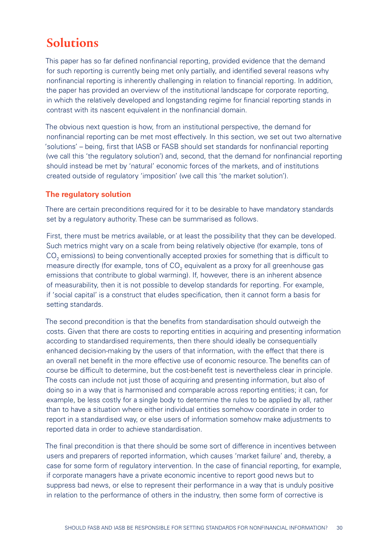# <span id="page-29-0"></span>**Solutions**

This paper has so far defined nonfinancial reporting, provided evidence that the demand for such reporting is currently being met only partially, and identified several reasons why nonfinancial reporting is inherently challenging in relation to financial reporting. In addition, the paper has provided an overview of the institutional landscape for corporate reporting, in which the relatively developed and longstanding regime for financial reporting stands in contrast with its nascent equivalent in the nonfinancial domain.

The obvious next question is how, from an institutional perspective, the demand for nonfinancial reporting can be met most effectively. In this section, we set out two alternative 'solutions' – being, first that IASB or FASB should set standards for nonfinancial reporting (we call this 'the regulatory solution') and, second, that the demand for nonfinancial reporting should instead be met by 'natural' economic forces of the markets, and of institutions created outside of regulatory 'imposition' (we call this 'the market solution').

## **The regulatory solution**

There are certain preconditions required for it to be desirable to have mandatory standards set by a regulatory authority. These can be summarised as follows.

First, there must be metrics available, or at least the possibility that they can be developed. Such metrics might vary on a scale from being relatively objective (for example, tons of  $\mathsf{CO}_2$  emissions) to being conventionally accepted proxies for something that is difficult to measure directly (for example, tons of  $\mathsf{CO}_2$  equivalent as a proxy for all greenhouse gas emissions that contribute to global warming). If, however, there is an inherent absence of measurability, then it is not possible to develop standards for reporting. For example, if 'social capital' is a construct that eludes specification, then it cannot form a basis for setting standards.

The second precondition is that the benefits from standardisation should outweigh the costs. Given that there are costs to reporting entities in acquiring and presenting information according to standardised requirements, then there should ideally be consequentially enhanced decision-making by the users of that information, with the effect that there is an overall net benefit in the more effective use of economic resource. The benefits can of course be difficult to determine, but the cost-benefit test is nevertheless clear in principle. The costs can include not just those of acquiring and presenting information, but also of doing so in a way that is harmonised and comparable across reporting entities; it can, for example, be less costly for a single body to determine the rules to be applied by all, rather than to have a situation where either individual entities somehow coordinate in order to report in a standardised way, or else users of information somehow make adjustments to reported data in order to achieve standardisation.

The final precondition is that there should be some sort of difference in incentives between users and preparers of reported information, which causes 'market failure' and, thereby, a case for some form of regulatory intervention. In the case of financial reporting, for example, if corporate managers have a private economic incentive to report good news but to suppress bad news, or else to represent their performance in a way that is unduly positive in relation to the performance of others in the industry, then some form of corrective is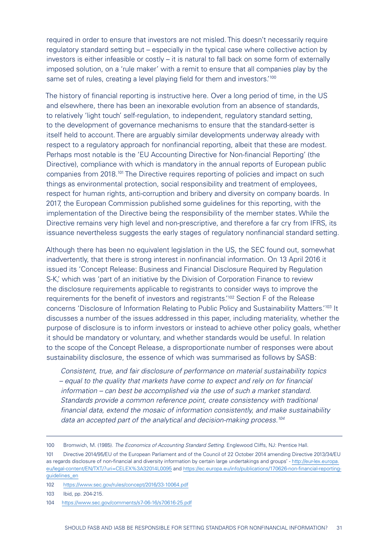required in order to ensure that investors are not misled. This doesn't necessarily require regulatory standard setting but – especially in the typical case where collective action by investors is either infeasible or costly – it is natural to fall back on some form of externally imposed solution, on a 'rule maker' with a remit to ensure that all companies play by the same set of rules, creating a level playing field for them and investors.<sup>'100</sup>

The history of financial reporting is instructive here. Over a long period of time, in the US and elsewhere, there has been an inexorable evolution from an absence of standards, to relatively 'light touch' self-regulation, to independent, regulatory standard setting, to the development of governance mechanisms to ensure that the standard-setter is itself held to account. There are arguably similar developments underway already with respect to a regulatory approach for nonfinancial reporting, albeit that these are modest. Perhaps most notable is the 'EU Accounting Directive for Non-financial Reporting' (the Directive), compliance with which is mandatory in the annual reports of European public companies from 2018.<sup>101</sup> The Directive requires reporting of policies and impact on such things as environmental protection, social responsibility and treatment of employees, respect for human rights, anti-corruption and bribery and diversity on company boards. In 2017, the European Commission published some guidelines for this reporting, with the implementation of the Directive being the responsibility of the member states. While the Directive remains very high level and non-prescriptive, and therefore a far cry from IFRS, its issuance nevertheless suggests the early stages of regulatory nonfinancial standard setting.

Although there has been no equivalent legislation in the US, the SEC found out, somewhat inadvertently, that there is strong interest in nonfinancial information. On 13 April 2016 it issued its 'Concept Release: Business and Financial Disclosure Required by Regulation S-K,' which was 'part of an initiative by the Division of Corporation Finance to review the disclosure requirements applicable to registrants to consider ways to improve the requirements for the benefit of investors and registrants.'102 Section F of the Release concerns 'Disclosure of Information Relating to Public Policy and Sustainability Matters.'103 It discusses a number of the issues addressed in this paper, including materiality, whether the purpose of disclosure is to inform investors or instead to achieve other policy goals, whether it should be mandatory or voluntary, and whether standards would be useful. In relation to the scope of the Concept Release, a disproportionate number of responses were about sustainability disclosure, the essence of which was summarised as follows by SASB:

*Consistent, true, and fair disclosure of performance on material sustainability topics – equal to the quality that markets have come to expect and rely on for financial information – can best be accomplished via the use of such a market standard. Standards provide a common reference point, create consistency with traditional financial data, extend the mosaic of information consistently, and make sustainability data an accepted part of the analytical and decision-making process.104*

<sup>100</sup> Bromwich, M. (1985). *The Economics of Accounting Standard Setting*. Englewood Cliffs, NJ: Prentice Hall.

<sup>101</sup> Directive 2014/95/EU of the European Parliament and of the Council of 22 October 2014 amending Directive 2013/34/EU as regards disclosure of non-financial and diversity information by certain large undertakings and groups' - [http://eur-lex.europa.](https://eur-lex.europa.eu/legal-content/EN/TXT/?uri=CELEX%3A32014L0095) [eu/legal-content/EN/TXT/?uri=CELEX%3A32014L0095](https://eur-lex.europa.eu/legal-content/EN/TXT/?uri=CELEX%3A32014L0095) and [https://ec.europa.eu/info/publications/170626-non-financial-reporting](https://ec.europa.eu/info/publications/170626-non-financial-reporting-guidelines_en)[guidelines\\_en](https://ec.europa.eu/info/publications/170626-non-financial-reporting-guidelines_en)

<sup>102</sup> <https://www.sec.gov/rules/concept/2016/33-10064.pdf>

<sup>103</sup> Ibid, pp. 204-215.

<sup>104</sup> <https://www.sec.gov/comments/s7-06-16/s70616-25.pdf>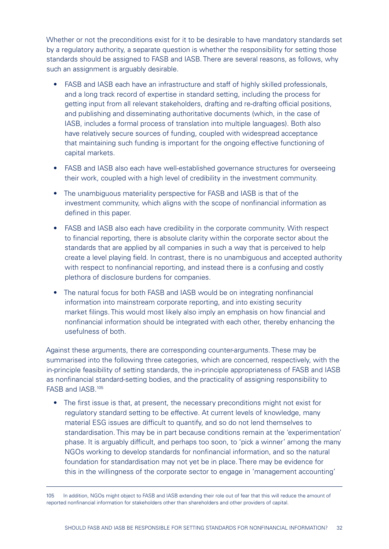Whether or not the preconditions exist for it to be desirable to have mandatory standards set by a regulatory authority, a separate question is whether the responsibility for setting those standards should be assigned to FASB and IASB. There are several reasons, as follows, why such an assignment is arguably desirable.

- FASB and IASB each have an infrastructure and staff of highly skilled professionals, and a long track record of expertise in standard setting, including the process for getting input from all relevant stakeholders, drafting and re-drafting official positions, and publishing and disseminating authoritative documents (which, in the case of IASB, includes a formal process of translation into multiple languages). Both also have relatively secure sources of funding, coupled with widespread acceptance that maintaining such funding is important for the ongoing effective functioning of capital markets.
- FASB and IASB also each have well-established governance structures for overseeing their work, coupled with a high level of credibility in the investment community.
- The unambiguous materiality perspective for FASB and IASB is that of the investment community, which aligns with the scope of nonfinancial information as defined in this paper.
- FASB and IASB also each have credibility in the corporate community. With respect to financial reporting, there is absolute clarity within the corporate sector about the standards that are applied by all companies in such a way that is perceived to help create a level playing field. In contrast, there is no unambiguous and accepted authority with respect to nonfinancial reporting, and instead there is a confusing and costly plethora of disclosure burdens for companies.
- The natural focus for both FASB and IASB would be on integrating nonfinancial information into mainstream corporate reporting, and into existing security market filings. This would most likely also imply an emphasis on how financial and nonfinancial information should be integrated with each other, thereby enhancing the usefulness of both.

Against these arguments, there are corresponding counter-arguments. These may be summarised into the following three categories, which are concerned, respectively, with the in-principle feasibility of setting standards, the in-principle appropriateness of FASB and IASB as nonfinancial standard-setting bodies, and the practicality of assigning responsibility to FASB and IASB.105

• The first issue is that, at present, the necessary preconditions might not exist for regulatory standard setting to be effective. At current levels of knowledge, many material ESG issues are difficult to quantify, and so do not lend themselves to standardisation. This may be in part because conditions remain at the 'experimentation' phase. It is arguably difficult, and perhaps too soon, to 'pick a winner' among the many NGOs working to develop standards for nonfinancial information, and so the natural foundation for standardisation may not yet be in place. There may be evidence for this in the willingness of the corporate sector to engage in 'management accounting'

<sup>105</sup> In addition, NGOs might object to FASB and IASB extending their role out of fear that this will reduce the amount of reported nonfinancial information for stakeholders other than shareholders and other providers of capital.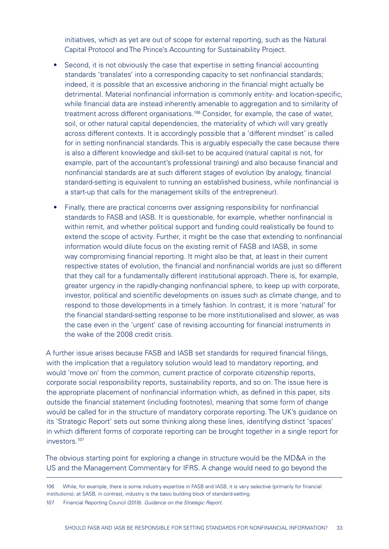initiatives, which as yet are out of scope for external reporting, such as the Natural Capital Protocol and The Prince's Accounting for Sustainability Project.

- Second, it is not obviously the case that expertise in setting financial accounting standards 'translates' into a corresponding capacity to set nonfinancial standards; indeed, it is possible that an excessive anchoring in the financial might actually be detrimental. Material nonfinancial information is commonly entity- and location-specific, while financial data are instead inherently amenable to aggregation and to similarity of treatment across different organisations.<sup>106</sup> Consider, for example, the case of water, soil, or other natural capital dependencies, the materiality of which will vary greatly across different contexts. It is accordingly possible that a 'different mindset' is called for in setting nonfinancial standards. This is arguably especially the case because there is also a different knowledge and skill-set to be acquired (natural capital is not, for example, part of the accountant's professional training) and also because financial and nonfinancial standards are at such different stages of evolution (by analogy, financial standard-setting is equivalent to running an established business, while nonfinancial is a start-up that calls for the management skills of the entrepreneur).
- Finally, there are practical concerns over assigning responsibility for nonfinancial standards to FASB and IASB. It is questionable, for example, whether nonfinancial is within remit, and whether political support and funding could realistically be found to extend the scope of activity. Further, it might be the case that extending to nonfinancial information would dilute focus on the existing remit of FASB and IASB, in some way compromising financial reporting. It might also be that, at least in their current respective states of evolution, the financial and nonfinancial worlds are just so different that they call for a fundamentally different institutional approach. There is, for example, greater urgency in the rapidly-changing nonfinancial sphere, to keep up with corporate, investor, political and scientific developments on issues such as climate change, and to respond to those developments in a timely fashion. In contrast, it is more 'natural' for the financial standard-setting response to be more institutionalised and slower, as was the case even in the 'urgent' case of revising accounting for financial instruments in the wake of the 2008 credit crisis.

A further issue arises because FASB and IASB set standards for required financial filings, with the implication that a regulatory solution would lead to mandatory reporting, and would 'move on' from the common, current practice of corporate citizenship reports, corporate social responsibility reports, sustainability reports, and so on. The issue here is the appropriate placement of nonfinancial information which, as defined in this paper, sits outside the financial statement (including footnotes), meaning that some form of change would be called for in the structure of mandatory corporate reporting. The UK's guidance on its 'Strategic Report' sets out some thinking along these lines, identifying distinct 'spaces' in which different forms of corporate reporting can be brought together in a single report for investors.107

The obvious starting point for exploring a change in structure would be the MD&A in the US and the Management Commentary for IFRS. A change would need to go beyond the

<sup>106</sup> While, for example, there is some industry expertise in FASB and IASB, it is very selective (primarily for financial institutions); at SASB, in contrast, industry is the basic building block of standard-setting.

<sup>107</sup> Financial Reporting Council (2018). *Guidance on the Strategic Report.*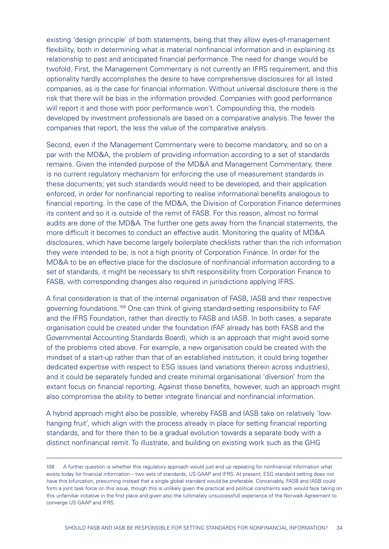existing 'design principle' of both statements, being that they allow eyes-of-management flexibility, both in determining what is material nonfinancial information and in explaining its relationship to past and anticipated financial performance. The need for change would be twofold. First, the Management Commentary is not currently an IFRS requirement, and this optionality hardly accomplishes the desire to have comprehensive disclosures for all listed companies, as is the case for financial information. Without universal disclosure there is the risk that there will be bias in the information provided. Companies with good performance will report it and those with poor performance won't. Compounding this, the models developed by investment professionals are based on a comparative analysis. The fewer the companies that report, the less the value of the comparative analysis.

Second, even if the Management Commentary were to become mandatory, and so on a par with the MD&A, the problem of providing information according to a set of standards remains. Given the intended purpose of the MD&A and Management Commentary, there is no current regulatory mechanism for enforcing the use of measurement standards in these documents; yet such standards would need to be developed, and their application enforced, in order for nonfinancial reporting to realise informational benefits analogous to financial reporting. In the case of the MD&A, the Division of Corporation Finance determines its content and so it is outside of the remit of FASB. For this reason, almost no formal audits are done of the MD&A. The further one gets away from the financial statements, the more difficult it becomes to conduct an effective audit. Monitoring the quality of MD&A disclosures, which have become largely boilerplate checklists rather than the rich information they were intended to be, is not a high priority of Corporation Finance. In order for the MD&A to be an effective place for the disclosure of nonfinancial information according to a set of standards, it might be necessary to shift responsibility from Corporation Finance to FASB, with corresponding changes also required in jurisdictions applying IFRS.

A final consideration is that of the internal organisation of FASB, IASB and their respective governing foundations.<sup>108</sup> One can think of giving standard-setting responsibility to FAF and the IFRS Foundation, rather than directly to FASB and IASB. In both cases, a separate organisation could be created under the foundation (FAF already has both FASB and the Governmental Accounting Standards Board), which is an approach that might avoid some of the problems cited above. For example, a new organisation could be created with the mindset of a start-up rather than that of an established institution, it could bring together dedicated expertise with respect to ESG issues (and variations therein across industries), and it could be separately funded and create minimal organisational 'diversion' from the extant focus on financial reporting. Against these benefits, however, such an approach might also compromise the ability to better integrate financial and nonfinancial information.

A hybrid approach might also be possible, whereby FASB and IASB take on relatively 'lowhanging fruit', which align with the process already in place for setting financial reporting standards, and for there then to be a gradual evolution towards a separate body with a distinct nonfinancial remit. To illustrate, and building on existing work such as the GHG

<sup>108</sup> A further question is whether this regulatory approach would just end up repeating for nonfinancial information what exists today for financial information – two sets of standards, US GAAP and IFRS. At present, ESG standard setting does not have this bifurcation, presuming instead that a single global standard would be preferable. Conceivably, FASB and IASB could form a joint task force on this issue, though this is unlikely given the practical and political constraints each would face taking on this unfamiliar initiative in the first place and given also the (ultimately unsuccessful) experience of the Norwalk Agreement to converge US GAAP and IFRS.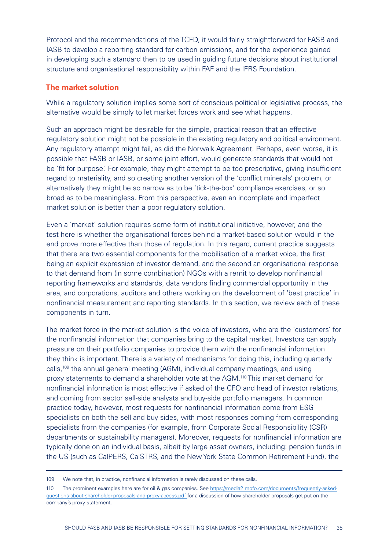<span id="page-34-0"></span>Protocol and the recommendations of the TCFD, it would fairly straightforward for FASB and IASB to develop a reporting standard for carbon emissions, and for the experience gained in developing such a standard then to be used in guiding future decisions about institutional structure and organisational responsibility within FAF and the IFRS Foundation.

#### **The market solution**

While a regulatory solution implies some sort of conscious political or legislative process, the alternative would be simply to let market forces work and see what happens.

Such an approach might be desirable for the simple, practical reason that an effective regulatory solution might not be possible in the existing regulatory and political environment. Any regulatory attempt might fail, as did the Norwalk Agreement. Perhaps, even worse, it is possible that FASB or IASB, or some joint effort, would generate standards that would not be 'fit for purpose.' For example, they might attempt to be too prescriptive, giving insufficient regard to materiality, and so creating another version of the 'conflict minerals' problem, or alternatively they might be so narrow as to be 'tick-the-box' compliance exercises, or so broad as to be meaningless. From this perspective, even an incomplete and imperfect market solution is better than a poor regulatory solution.

Even a 'market' solution requires some form of institutional initiative, however, and the test here is whether the organisational forces behind a market-based solution would in the end prove more effective than those of regulation. In this regard, current practice suggests that there are two essential components for the mobilisation of a market voice, the first being an explicit expression of investor demand, and the second an organisational response to that demand from (in some combination) NGOs with a remit to develop nonfinancial reporting frameworks and standards, data vendors finding commercial opportunity in the area, and corporations, auditors and others working on the development of 'best practice' in nonfinancial measurement and reporting standards. In this section, we review each of these components in turn.

The market force in the market solution is the voice of investors, who are the 'customers' for the nonfinancial information that companies bring to the capital market. Investors can apply pressure on their portfolio companies to provide them with the nonfinancial information they think is important. There is a variety of mechanisms for doing this, including quarterly calls,109 the annual general meeting (AGM), individual company meetings, and using proxy statements to demand a shareholder vote at the AGM.110 This market demand for nonfinancial information is most effective if asked of the CFO and head of investor relations, and coming from sector sell-side analysts and buy-side portfolio managers. In common practice today, however, most requests for nonfinancial information come from ESG specialists on both the sell and buy sides, with most responses coming from corresponding specialists from the companies (for example, from Corporate Social Responsibility (CSR) departments or sustainability managers). Moreover, requests for nonfinancial information are typically done on an individual basis, albeit by large asset owners, including: pension funds in the US (such as CalPERS, CalSTRS, and the New York State Common Retirement Fund), the

<sup>109</sup> We note that, in practice, nonfinancial information is rarely discussed on these calls.

<sup>110</sup> The prominent examples here are for oil & gas companies. See https://media2.mofo.com/documents/frequently-askedquestions-about-shareholder-proposals-and-proxy-access.pdf for a discussion of how shareholder proposals get put on the company's proxy statement.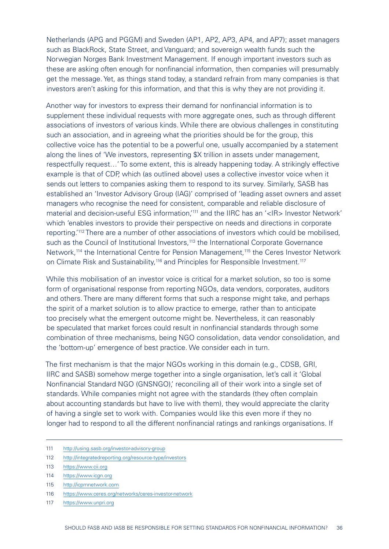Netherlands (APG and PGGM) and Sweden (AP1, AP2, AP3, AP4, and AP7); asset managers such as BlackRock, State Street, and Vanguard; and sovereign wealth funds such the Norwegian Norges Bank Investment Management. If enough important investors such as these are asking often enough for nonfinancial information, then companies will presumably get the message. Yet, as things stand today, a standard refrain from many companies is that investors aren't asking for this information, and that this is why they are not providing it.

Another way for investors to express their demand for nonfinancial information is to supplement these individual requests with more aggregate ones, such as through different associations of investors of various kinds. While there are obvious challenges in constituting such an association, and in agreeing what the priorities should be for the group, this collective voice has the potential to be a powerful one, usually accompanied by a statement along the lines of 'We investors, representing \$X trillion in assets under management, respectfully request…' To some extent, this is already happening today. A strikingly effective example is that of CDP, which (as outlined above) uses a collective investor voice when it sends out letters to companies asking them to respond to its survey. Similarly, SASB has established an 'Investor Advisory Group (IAG)' comprised of 'leading asset owners and asset managers who recognise the need for consistent, comparable and reliable disclosure of material and decision-useful ESG information,'<sup>111</sup> and the IIRC has an '<IR> Investor Network' which 'enables investors to provide their perspective on needs and directions in corporate reporting.'112 There are a number of other associations of investors which could be mobilised, such as the Council of Institutional Investors,<sup>113</sup> the International Corporate Governance Network,<sup>114</sup> the International Centre for Pension Management,<sup>115</sup> the Ceres Investor Network on Climate Risk and Sustainability.<sup>116</sup> and Principles for Responsible Investment.<sup>117</sup>

While this mobilisation of an investor voice is critical for a market solution, so too is some form of organisational response from reporting NGOs, data vendors, corporates, auditors and others. There are many different forms that such a response might take, and perhaps the spirit of a market solution is to allow practice to emerge, rather than to anticipate too precisely what the emergent outcome might be. Nevertheless, it can reasonably be speculated that market forces could result in nonfinancial standards through some combination of three mechanisms, being NGO consolidation, data vendor consolidation, and the 'bottom-up' emergence of best practice. We consider each in turn.

The first mechanism is that the major NGOs working in this domain (e.g., CDSB, GRI, IIRC and SASB) somehow merge together into a single organisation, let's call it 'Global Nonfinancial Standard NGO (GNSNGO),' reconciling all of their work into a single set of standards. While companies might not agree with the standards (they often complain about accounting standards but have to live with them), they would appreciate the clarity of having a single set to work with. Companies would like this even more if they no longer had to respond to all the different nonfinancial ratings and rankings organisations. If

112 [http://integratedreporting.org/resource-type/investors](http://integratedreporting.org/resource-type/investors/)

- 115 [http://icpmnetwork.com](http://icpmnetwork.com/)
- 116 <https://www.ceres.org/networks/ceres-investor-network>
- 117 [https://www.unpri.org](https://www.unpri.org/)

<sup>111</sup> [http://using.sasb.org/investor-advisory-group](http://using.sasb.org/investor-advisory-group/)

<sup>113</sup> [https://www.cii.org](https://www.cii.org/)

<sup>114</sup> [https://www.icgn.org](https://www.icgn.org/)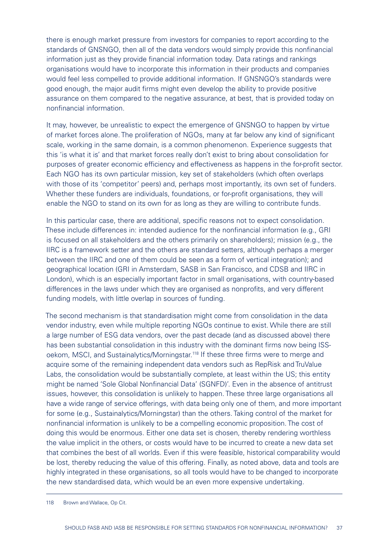there is enough market pressure from investors for companies to report according to the standards of GNSNGO, then all of the data vendors would simply provide this nonfinancial information just as they provide financial information today. Data ratings and rankings organisations would have to incorporate this information in their products and companies would feel less compelled to provide additional information. If GNSNGO's standards were good enough, the major audit firms might even develop the ability to provide positive assurance on them compared to the negative assurance, at best, that is provided today on nonfinancial information.

It may, however, be unrealistic to expect the emergence of GNSNGO to happen by virtue of market forces alone. The proliferation of NGOs, many at far below any kind of significant scale, working in the same domain, is a common phenomenon. Experience suggests that this 'is what it is' and that market forces really don't exist to bring about consolidation for purposes of greater economic efficiency and effectiveness as happens in the for-profit sector. Each NGO has its own particular mission, key set of stakeholders (which often overlaps with those of its 'competitor' peers) and, perhaps most importantly, its own set of funders. Whether these funders are individuals, foundations, or for-profit organisations, they will enable the NGO to stand on its own for as long as they are willing to contribute funds.

In this particular case, there are additional, specific reasons not to expect consolidation. These include differences in: intended audience for the nonfinancial information (e.g., GRI is focused on all stakeholders and the others primarily on shareholders); mission (e.g., the IIRC is a framework setter and the others are standard setters, although perhaps a merger between the IIRC and one of them could be seen as a form of vertical integration); and geographical location (GRI in Amsterdam, SASB in San Francisco, and CDSB and IIRC in London), which is an especially important factor in small organisations, with country-based differences in the laws under which they are organised as nonprofits, and very different funding models, with little overlap in sources of funding.

The second mechanism is that standardisation might come from consolidation in the data vendor industry, even while multiple reporting NGOs continue to exist. While there are still a large number of ESG data vendors, over the past decade (and as discussed above) there has been substantial consolidation in this industry with the dominant firms now being ISSoekom, MSCI, and Sustainalytics/Morningstar.118 If these three firms were to merge and acquire some of the remaining independent data vendors such as RepRisk and TruValue Labs, the consolidation would be substantially complete, at least within the US; this entity might be named 'Sole Global Nonfinancial Data' (SGNFD)'. Even in the absence of antitrust issues, however, this consolidation is unlikely to happen. These three large organisations all have a wide range of service offerings, with data being only one of them, and more important for some (e.g., Sustainalytics/Morningstar) than the others. Taking control of the market for nonfinancial information is unlikely to be a compelling economic proposition. The cost of doing this would be enormous. Either one data set is chosen, thereby rendering worthless the value implicit in the others, or costs would have to be incurred to create a new data set that combines the best of all worlds. Even if this were feasible, historical comparability would be lost, thereby reducing the value of this offering. Finally, as noted above, data and tools are highly integrated in these organisations, so all tools would have to be changed to incorporate the new standardised data, which would be an even more expensive undertaking.

<sup>118</sup> Brown and Wallace, Op Cit.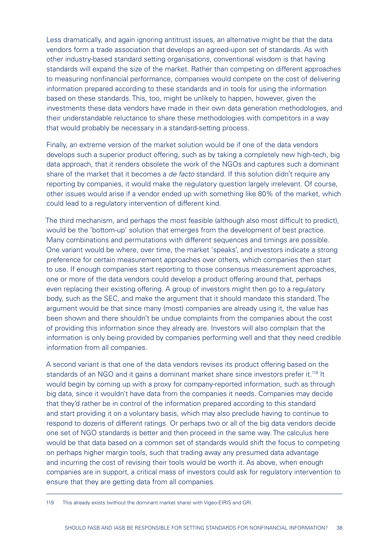Less dramatically, and again ignoring antitrust issues, an alternative might be that the data vendors form a trade association that develops an agreed-upon set of standards. As with other industry-based standard setting organisations, conventional wisdom is that having standards will expand the size of the market. Rather than competing on different approaches to measuring nonfinancial performance, companies would compete on the cost of delivering information prepared according to these standards and in tools for using the information based on these standards. This, too, might be unlikely to happen, however, given the investments these data vendors have made in their own data generation methodologies, and their understandable reluctance to share these methodologies with competitors in a way that would probably be necessary in a standard-setting process.

Finally, an extreme version of the market solution would be if one of the data vendors develops such a superior product offering, such as by taking a completely new high-tech, big data approach, that it renders obsolete the work of the NGOs and captures such a dominant share of the market that it becomes a *de facto* standard. If this solution didn't require any reporting by companies, it would make the regulatory question largely irrelevant. Of course, other issues would arise if a vendor ended up with something like 80% of the market, which could lead to a regulatory intervention of different kind.

The third mechanism, and perhaps the most feasible (although also most difficult to predict), would be the 'bottom-up' solution that emerges from the development of best practice. Many combinations and permutations with different sequences and timings are possible. One variant would be where, over time, the market 'speaks', and investors indicate a strong preference for certain measurement approaches over others, which companies then start to use. If enough companies start reporting to those consensus measurement approaches, one or more of the data vendors could develop a product offering around that, perhaps even replacing their existing offering. A group of investors might then go to a regulatory body, such as the SEC, and make the argument that it should mandate this standard. The argument would be that since many (most) companies are already using it, the value has been shown and there shouldn't be undue complaints from the companies about the cost of providing this information since they already are. Investors will also complain that the information is only being provided by companies performing well and that they need credible information from all companies.

A second variant is that one of the data vendors revises its product offering based on the standards of an NGO and it gains a dominant market share since investors prefer it.<sup>119</sup> It would begin by coming up with a proxy for company-reported information, such as through big data, since it wouldn't have data from the companies it needs. Companies may decide that they'd rather be in control of the information prepared according to this standard and start providing it on a voluntary basis, which may also preclude having to continue to respond to dozens of different ratings. Or perhaps two or all of the big data vendors decide one set of NGO standards is better and then proceed in the same way. The calculus here would be that data based on a common set of standards would shift the focus to competing on perhaps higher margin tools, such that trading away any presumed data advantage and incurring the cost of revising their tools would be worth it. As above, when enough companies are in support, a critical mass of investors could ask for regulatory intervention to ensure that they are getting data from all companies.

119 This already exists (without the dominant market share) with Vigeo-EIRIS and GRI.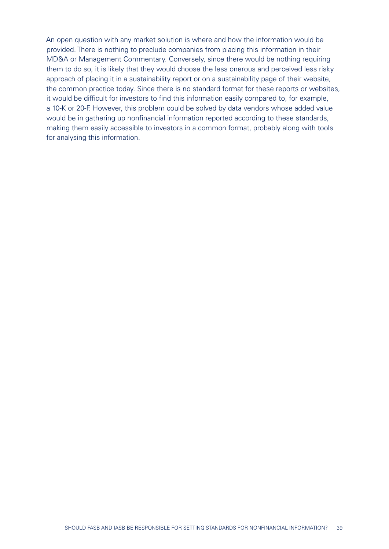An open question with any market solution is where and how the information would be provided. There is nothing to preclude companies from placing this information in their MD&A or Management Commentary. Conversely, since there would be nothing requiring them to do so, it is likely that they would choose the less onerous and perceived less risky approach of placing it in a sustainability report or on a sustainability page of their website, the common practice today. Since there is no standard format for these reports or websites, it would be difficult for investors to find this information easily compared to, for example, a 10-K or 20-F. However, this problem could be solved by data vendors whose added value would be in gathering up nonfinancial information reported according to these standards, making them easily accessible to investors in a common format, probably along with tools for analysing this information.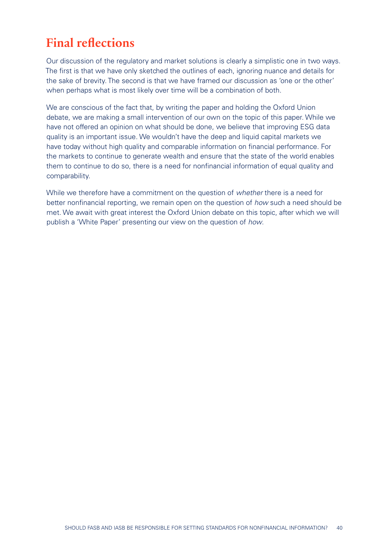# <span id="page-39-0"></span>**Final reflections**

Our discussion of the regulatory and market solutions is clearly a simplistic one in two ways. The first is that we have only sketched the outlines of each, ignoring nuance and details for the sake of brevity. The second is that we have framed our discussion as 'one or the other' when perhaps what is most likely over time will be a combination of both.

We are conscious of the fact that, by writing the paper and holding the Oxford Union debate, we are making a small intervention of our own on the topic of this paper. While we have not offered an opinion on what should be done, we believe that improving ESG data quality is an important issue. We wouldn't have the deep and liquid capital markets we have today without high quality and comparable information on financial performance. For the markets to continue to generate wealth and ensure that the state of the world enables them to continue to do so, there is a need for nonfinancial information of equal quality and comparability.

While we therefore have a commitment on the question of *whether* there is a need for better nonfinancial reporting, we remain open on the question of *how* such a need should be met. We await with great interest the Oxford Union debate on this topic, after which we will publish a 'White Paper' presenting our view on the question of *how*.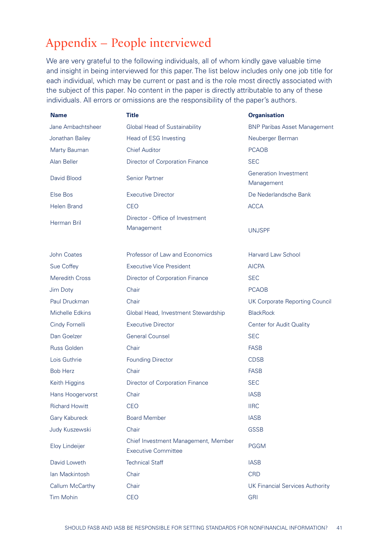# <span id="page-40-0"></span>Appendix – People interviewed

We are very grateful to the following individuals, all of whom kindly gave valuable time and insight in being interviewed for this paper. The list below includes only one job title for each individual, which may be current or past and is the role most directly associated with the subject of this paper. No content in the paper is directly attributable to any of these individuals. All errors or omissions are the responsibility of the paper's authors.

| <b>Name</b>           | Title                                                             | <b>Organisation</b>                        |
|-----------------------|-------------------------------------------------------------------|--------------------------------------------|
| Jane Ambachtsheer     | Global Head of Sustainability                                     | <b>BNP Paribas Asset Management</b>        |
| Jonathan Bailey       | Head of ESG Investing                                             | Neuberger Berman                           |
| Marty Bauman          | <b>Chief Auditor</b>                                              | <b>PCAOB</b>                               |
| Alan Beller           | Director of Corporation Finance                                   | <b>SEC</b>                                 |
| David Blood           | Senior Partner                                                    | <b>Generation Investment</b><br>Management |
| Else Bos              | <b>Executive Director</b>                                         | De Nederlandsche Bank                      |
| Helen Brand           | CEO                                                               | <b>ACCA</b>                                |
| <b>Herman Bril</b>    | Director - Office of Investment<br>Management                     | <b>UNJSPF</b>                              |
| John Coates           | Professor of Law and Economics                                    | <b>Harvard Law School</b>                  |
| Sue Coffey            | <b>Executive Vice President</b>                                   | <b>AICPA</b>                               |
| <b>Meredith Cross</b> | Director of Corporation Finance                                   | <b>SEC</b>                                 |
| Jim Doty              | Chair                                                             | <b>PCAOB</b>                               |
| Paul Druckman         | Chair                                                             | <b>UK Corporate Reporting Council</b>      |
| Michelle Edkins       | Global Head, Investment Stewardship                               | <b>BlackRock</b>                           |
| Cindy Fornelli        | <b>Executive Director</b>                                         | Center for Audit Quality                   |
| Dan Goelzer           | <b>General Counsel</b>                                            | <b>SEC</b>                                 |
| <b>Russ Golden</b>    | Chair                                                             | <b>FASB</b>                                |
| Lois Guthrie          | <b>Founding Director</b>                                          | <b>CDSB</b>                                |
| <b>Bob Herz</b>       | Chair                                                             | <b>FASB</b>                                |
| Keith Higgins         | Director of Corporation Finance                                   | <b>SEC</b>                                 |
| Hans Hoogervorst      | Chair                                                             | <b>IASB</b>                                |
| <b>Richard Howitt</b> | CEO                                                               | <b>IIRC</b>                                |
| <b>Gary Kabureck</b>  | <b>Board Member</b>                                               | <b>IASB</b>                                |
| Judy Kuszewski        | Chair                                                             | <b>GSSB</b>                                |
| Eloy Lindeijer        | Chief Investment Management, Member<br><b>Executive Committee</b> | <b>PGGM</b>                                |
| David Loweth          | <b>Technical Staff</b>                                            | <b>IASB</b>                                |
| lan Mackintosh        | Chair                                                             | <b>CRD</b>                                 |
| Callum McCarthy       | Chair                                                             | <b>UK Financial Services Authority</b>     |
| <b>Tim Mohin</b>      | CEO                                                               | <b>GRI</b>                                 |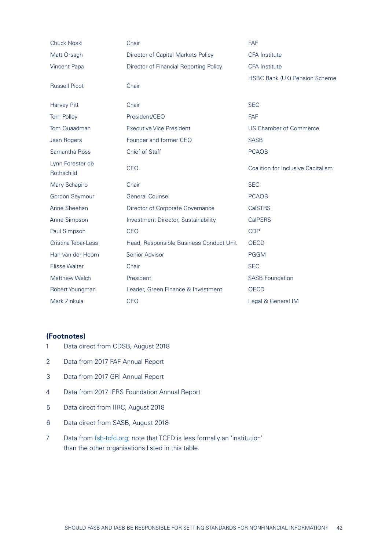| <b>Chuck Noski</b>             | Chair                                   | <b>FAF</b>                         |
|--------------------------------|-----------------------------------------|------------------------------------|
| Matt Orsagh                    | Director of Capital Markets Policy      | <b>CFA</b> Institute               |
| Vincent Papa                   | Director of Financial Reporting Policy  | <b>CFA</b> Institute               |
| <b>Russell Picot</b>           | Chair                                   | HSBC Bank (UK) Pension Scheme      |
| Harvey Pitt                    | Chair                                   | <b>SEC</b>                         |
| <b>Terri Polley</b>            | President/CEO                           | <b>FAF</b>                         |
| Tom Quaadman                   | <b>Executive Vice President</b>         | <b>US Chamber of Commerce</b>      |
| Jean Rogers                    | Founder and former CEO                  | <b>SASB</b>                        |
| Samantha Ross                  | Chief of Staff                          | <b>PCAOB</b>                       |
| Lynn Forester de<br>Rothschild | <b>CEO</b>                              | Coalition for Inclusive Capitalism |
| Mary Schapiro                  | Chair                                   | <b>SEC</b>                         |
| Gordon Seymour                 | <b>General Counsel</b>                  | <b>PCAOB</b>                       |
| Anne Sheehan                   | Director of Corporate Governance        | <b>CalSTRS</b>                     |
| Anne Simpson                   | Investment Director, Sustainability     | <b>CalPERS</b>                     |
| Paul Simpson                   | <b>CEO</b>                              | <b>CDP</b>                         |
| Cristina Tebar-Less            | Head, Responsible Business Conduct Unit | <b>OECD</b>                        |
| Han van der Hoorn              | Senior Advisor                          | <b>PGGM</b>                        |
| <b>Elisse Walter</b>           | Chair                                   | <b>SEC</b>                         |
| Matthew Welch                  | President                               | <b>SASB Foundation</b>             |
| Robert Youngman                | Leader, Green Finance & Investment      | <b>OECD</b>                        |
| Mark Zinkula                   | <b>CEO</b>                              | Legal & General IM                 |

#### **(Footnotes)**

- 1 Data direct from CDSB, August 2018
- 2 Data from 2017 FAF Annual Report
- 3 Data from 2017 GRI Annual Report
- 4 Data from 2017 IFRS Foundation Annual Report
- 5 Data direct from IIRC, August 2018
- 6 Data direct from SASB, August 2018
- 7 Data from [fsb-tcfd.org](http://fsb-tcfd.org); note that TCFD is less formally an 'institution' than the other organisations listed in this table.